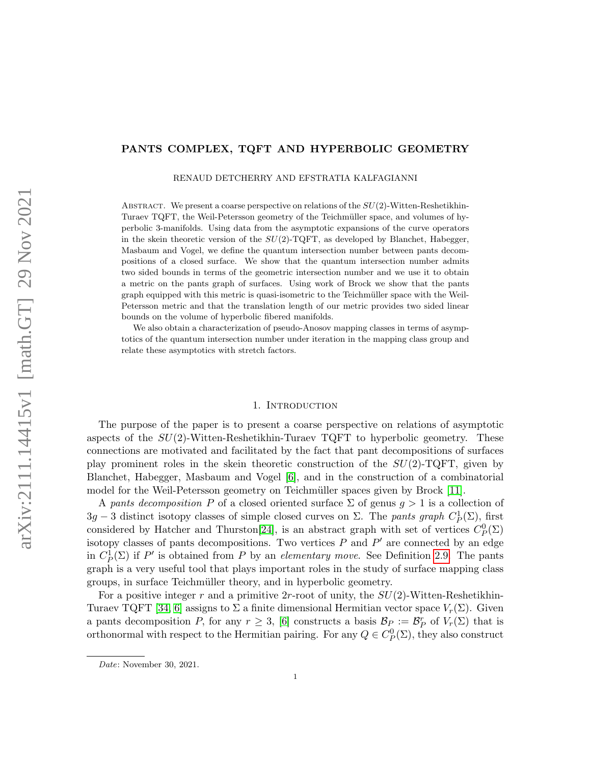# PANTS COMPLEX, TQFT AND HYPERBOLIC GEOMETRY

RENAUD DETCHERRY AND EFSTRATIA KALFAGIANNI

ABSTRACT. We present a coarse perspective on relations of the  $SU(2)$ -Witten-Reshetikhin-Turaev TQFT, the Weil-Petersson geometry of the Teichmüller space, and volumes of hyperbolic 3-manifolds. Using data from the asymptotic expansions of the curve operators in the skein theoretic version of the  $SU(2)$ -TQFT, as developed by Blanchet, Habegger, Masbaum and Vogel, we define the quantum intersection number between pants decompositions of a closed surface. We show that the quantum intersection number admits two sided bounds in terms of the geometric intersection number and we use it to obtain a metric on the pants graph of surfaces. Using work of Brock we show that the pants graph equipped with this metric is quasi-isometric to the Teichm¨uller space with the Weil-Petersson metric and that the translation length of our metric provides two sided linear bounds on the volume of hyperbolic fibered manifolds.

We also obtain a characterization of pseudo-Anosov mapping classes in terms of asymptotics of the quantum intersection number under iteration in the mapping class group and relate these asymptotics with stretch factors.

#### 1. INTRODUCTION

The purpose of the paper is to present a coarse perspective on relations of asymptotic aspects of the  $SU(2)$ -Witten-Reshetikhin-Turaev TQFT to hyperbolic geometry. These connections are motivated and facilitated by the fact that pant decompositions of surfaces play prominent roles in the skein theoretic construction of the  $SU(2)$ -TQFT, given by Blanchet, Habegger, Masbaum and Vogel [\[6\]](#page-36-0), and in the construction of a combinatorial model for the Weil-Petersson geometry on Teichmüller spaces given by Brock [\[11\]](#page-36-1).

A pants decomposition P of a closed oriented surface  $\Sigma$  of genus  $g > 1$  is a collection of  $3g-3$  distinct isotopy classes of simple closed curves on  $\Sigma$ . The pants graph  $C_P^1(\Sigma)$ , first considered by Hatcher and Thurston<sup>[\[24\]](#page-37-0)</sup>, is an abstract graph with set of vertices  $C_P^0(\Sigma)$ isotopy classes of pants decompositions. Two vertices  $P$  and  $P'$  are connected by an edge in  $C_P^1(\Sigma)$  if P' is obtained from P by an elementary move. See Definition [2.9.](#page-8-0) The pants graph is a very useful tool that plays important roles in the study of surface mapping class groups, in surface Teichmüller theory, and in hyperbolic geometry.

For a positive integer r and a primitive 2r-root of unity, the  $SU(2)$ -Witten-Reshetikhin-Turaev TQFT [\[34,](#page-37-1) [6\]](#page-36-0) assigns to  $\Sigma$  a finite dimensional Hermitian vector space  $V_r(\Sigma)$ . Given a pants decomposition P, for any  $r \geq 3$ , [\[6\]](#page-36-0) constructs a basis  $\mathcal{B}_P := \mathcal{B}_P^r$  of  $V_r(\Sigma)$  that is orthonormal with respect to the Hermitian pairing. For any  $Q \in C_p^0(\Sigma)$ , they also construct

Date: November 30, 2021.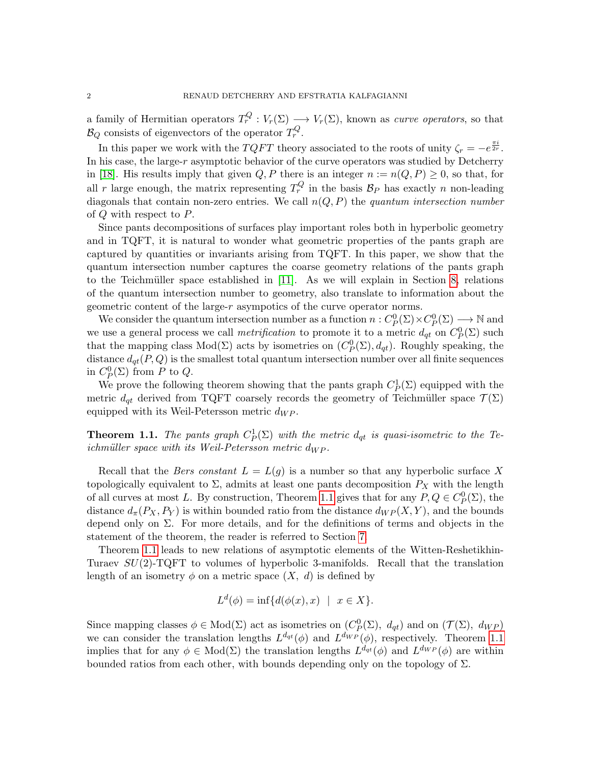a family of Hermitian operators  $T_r^Q: V_r(\Sigma) \longrightarrow V_r(\Sigma)$ , known as *curve operators*, so that  $\mathcal{B}_Q$  consists of eigenvectors of the operator  $T_r^Q$ .

In this paper we work with the  $TQFT$  theory associated to the roots of unity  $\zeta_r = -e^{\frac{\pi i}{2r}}$ . In his case, the large-r asymptotic behavior of the curve operators was studied by Detcherry in [\[18\]](#page-36-2). His results imply that given  $Q, P$  there is an integer  $n := n(Q, P) \geq 0$ , so that, for all r large enough, the matrix representing  $T_r^Q$  in the basis  $B_P$  has exactly n non-leading diagonals that contain non-zero entries. We call  $n(Q, P)$  the quantum intersection number of Q with respect to P.

Since pants decompositions of surfaces play important roles both in hyperbolic geometry and in TQFT, it is natural to wonder what geometric properties of the pants graph are captured by quantities or invariants arising from TQFT. In this paper, we show that the quantum intersection number captures the coarse geometry relations of the pants graph to the Teichmüller space established in  $[11]$ . As we will explain in Section [8,](#page-30-0) relations of the quantum intersection number to geometry, also translate to information about the geometric content of the large-r asympotics of the curve operator norms.

We consider the quantum intersection number as a function  $n: C^0_P(\Sigma) \times C^0_P(\Sigma) \longrightarrow \mathbb{N}$  and we use a general process we call *metrification* to promote it to a metric  $d_{qt}$  on  $C_p^0(\Sigma)$  such that the mapping class  $Mod(\Sigma)$  acts by isometries on  $(C_P^0(\Sigma), d_{qt})$ . Roughly speaking, the distance  $d_{qt}(P,Q)$  is the smallest total quantum intersection number over all finite sequences in  $C_P^0(\Sigma)$  from P to Q.

We prove the following theorem showing that the pants graph  $C_P^1(\Sigma)$  equipped with the metric  $d_{\sigma t}$  derived from TQFT coarsely records the geometry of Teichmüller space  $\mathcal{T}(\Sigma)$ equipped with its Weil-Petersson metric  $d_{WP}$ .

<span id="page-1-0"></span>**Theorem 1.1.** The pants graph  $C_P^1(\Sigma)$  with the metric  $d_{qt}$  is quasi-isometric to the Teichmüller space with its Weil-Petersson metric  $d_{WP}$ .

Recall that the *Bers constant*  $L = L(g)$  is a number so that any hyperbolic surface X topologically equivalent to  $\Sigma$ , admits at least one pants decomposition  $P_X$  with the length of all curves at most L. By construction, Theorem [1.1](#page-1-0) gives that for any  $P, Q \in C_p^0(\Sigma)$ , the distance  $d_{\pi}(P_X, P_Y)$  is within bounded ratio from the distance  $d_{WP}(X, Y)$ , and the bounds depend only on  $\Sigma$ . For more details, and for the definitions of terms and objects in the statement of the theorem, the reader is referred to Section [7.](#page-26-0)

Theorem [1.1](#page-1-0) leads to new relations of asymptotic elements of the Witten-Reshetikhin-Turaev  $SU(2)$ -TQFT to volumes of hyperbolic 3-manifolds. Recall that the translation length of an isometry  $\phi$  on a metric space  $(X, d)$  is defined by

$$
L^d(\phi) = \inf \{ d(\phi(x), x) \mid x \in X \}.
$$

Since mapping classes  $\phi \in Mod(\Sigma)$  act as isometries on  $(C_P^0(\Sigma), d_{qt})$  and on  $(\mathcal{T}(\Sigma), d_{WP})$ we can consider the translation lengths  $L^{d_{qt}}(\phi)$  and  $L^{d_{WP}}(\phi)$ , respectively. Theorem [1.1](#page-1-0) implies that for any  $\phi \in Mod(\Sigma)$  the translation lengths  $L^{d_{qt}}(\phi)$  and  $L^{d_{WP}}(\phi)$  are within bounded ratios from each other, with bounds depending only on the topology of  $\Sigma$ .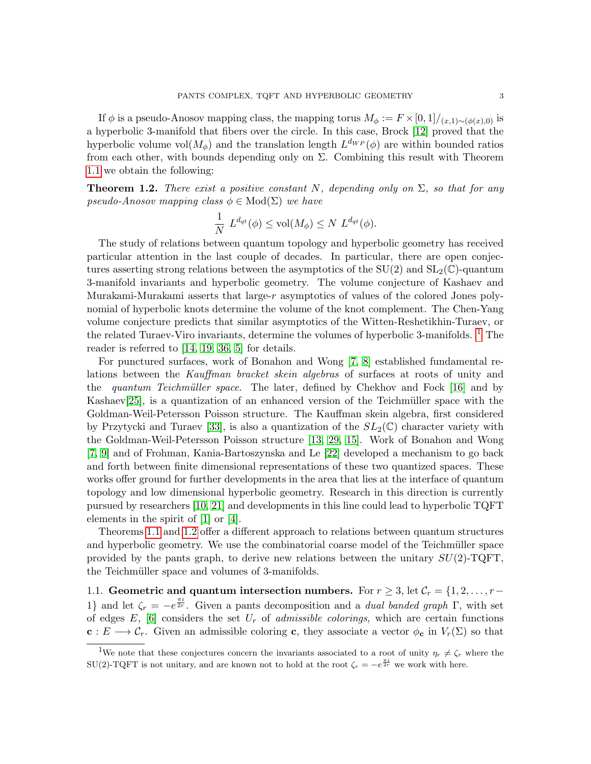If  $\phi$  is a pseudo-Anosov mapping class, the mapping torus  $M_{\phi} := F \times [0, 1] / (x, 1) \sim (\phi(x), 0)$  is a hyperbolic 3-manifold that fibers over the circle. In this case, Brock [\[12\]](#page-36-3) proved that the hyperbolic volume vol $(M_{\phi})$  and the translation length  $L^{d_{WP}}(\phi)$  are within bounded ratios from each other, with bounds depending only on  $\Sigma$ . Combining this result with Theorem [1.1](#page-1-0) we obtain the following:

<span id="page-2-1"></span>**Theorem 1.2.** There exist a positive constant N, depending only on  $\Sigma$ , so that for any pseudo-Anosov mapping class  $\phi \in Mod(\Sigma)$  we have

$$
\frac{1}{N} L^{d_{qt}}(\phi) \le \text{vol}(M_{\phi}) \le N L^{d_{qt}}(\phi).
$$

The study of relations between quantum topology and hyperbolic geometry has received particular attention in the last couple of decades. In particular, there are open conjectures asserting strong relations between the asymptotics of the  $SU(2)$  and  $SL_2(\mathbb{C})$ -quantum 3-manifold invariants and hyperbolic geometry. The volume conjecture of Kashaev and Murakami-Murakami asserts that large-r asymptotics of values of the colored Jones polynomial of hyperbolic knots determine the volume of the knot complement. The Chen-Yang volume conjecture predicts that similar asymptotics of the Witten-Reshetikhin-Turaev, or the related Turaev-Viro invariants, determine the volumes of hyperbolic 3-manifolds.  $1$  The reader is referred to [\[14,](#page-36-4) [19,](#page-36-5) [36,](#page-37-2) [5\]](#page-36-6) for details.

For punctured surfaces, work of Bonahon and Wong [\[7,](#page-36-7) [8\]](#page-36-8) established fundamental relations between the Kauffman bracket skein algebras of surfaces at roots of unity and the quantum Teichmüller space. The later, defined by Chekhov and Fock  $[16]$  and by Kashaev[\[25\]](#page-37-3), is a quantization of an enhanced version of the Teichmüller space with the Goldman-Weil-Petersson Poisson structure. The Kauffman skein algebra, first considered by Przytycki and Turaev [\[33\]](#page-37-4), is also a quantization of the  $SL_2(\mathbb{C})$  character variety with the Goldman-Weil-Petersson Poisson structure [\[13,](#page-36-10) [29,](#page-37-5) [15\]](#page-36-11). Work of Bonahon and Wong [\[7,](#page-36-7) [9\]](#page-36-12) and of Frohman, Kania-Bartoszynska and Le [\[22\]](#page-37-6) developed a mechanism to go back and forth between finite dimensional representations of these two quantized spaces. These works offer ground for further developments in the area that lies at the interface of quantum topology and low dimensional hyperbolic geometry. Research in this direction is currently pursued by researchers [\[10,](#page-36-13) [21\]](#page-37-7) and developments in this line could lead to hyperbolic TQFT elements in the spirit of [\[1\]](#page-36-14) or [\[4\]](#page-36-15).

Theorems [1.1](#page-1-0) and [1.2](#page-2-1) offer a different approach to relations between quantum structures and hyperbolic geometry. We use the combinatorial coarse model of the Teichmüller space provided by the pants graph, to derive new relations between the unitary  $SU(2)$ -TQFT, the Teichmüller space and volumes of 3-manifolds.

1.1. Geometric and quantum intersection numbers. For  $r \geq 3$ , let  $\mathcal{C}_r = \{1, 2, \ldots, r-\}$ 1} and let  $\zeta_r = -e^{\frac{\pi i}{2r}}$ . Given a pants decomposition and a *dual banded graph*  $\Gamma$ , with set of edges  $E$ , [\[6\]](#page-36-0) considers the set  $U_r$  of *admissible colorings*, which are certain functions  $c: E \longrightarrow \mathcal{C}_r$ . Given an admissible coloring c, they associate a vector  $\phi_c$  in  $V_r(\Sigma)$  so that

<span id="page-2-0"></span><sup>&</sup>lt;sup>1</sup>We note that these conjectures concern the invariants associated to a root of unity  $\eta_r \neq \zeta_r$  where the SU(2)-TQFT is not unitary, and are known not to hold at the root  $\zeta_r = -e^{\frac{\pi i}{2r}}$  we work with here.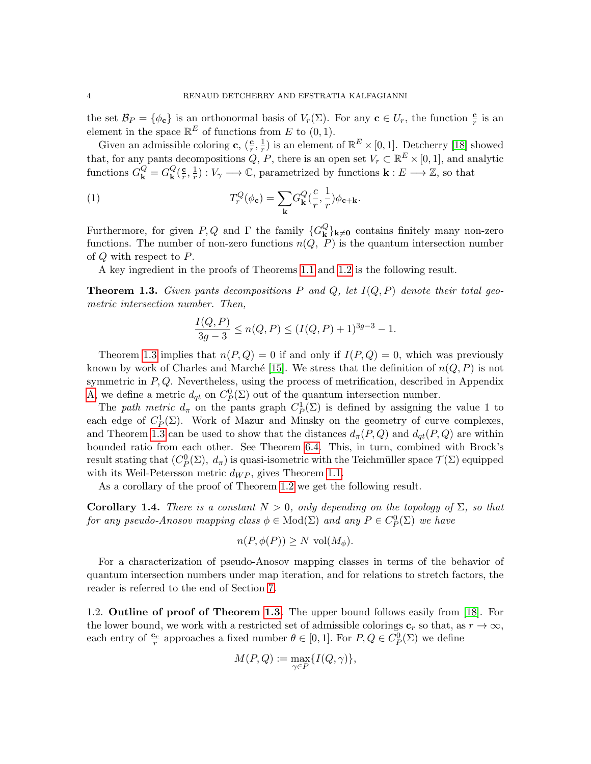the set  $\mathcal{B}_P = \{\phi_{\mathbf{c}}\}$  is an orthonormal basis of  $V_r(\Sigma)$ . For any  $\mathbf{c} \in U_r$ , the function  $\frac{\mathbf{c}}{r}$  is an element in the space  $\mathbb{R}^E$  of functions from E to  $(0, 1)$ .

Given an admissible coloring **c**,  $(\frac{c}{r}, \frac{1}{r})$  $\frac{1}{r}$ ) is an element of  $\mathbb{R}^E \times [0,1]$ . Detcherry [\[18\]](#page-36-2) showed that, for any pants decompositions  $Q, P$ , there is an open set  $V_r \subset \mathbb{R}^E \times [0, 1]$ , and analytic functions  $G_{\mathbf{k}}^{Q} = G_{\mathbf{k}}^{Q}$  $\frac{Q}{\mathbf{k}}(\frac{\mathbf{c}}{r}% )^{2}$  $\frac{\mathbf{c}}{r}$ ,  $\frac{1}{r}$  $\frac{1}{r}$ :  $V_{\gamma} \longrightarrow \mathbb{C}$ , parametrized by functions  $\mathbf{k}: E \longrightarrow \mathbb{Z}$ , so that

(1) 
$$
T_r^Q(\phi_{\mathbf{c}}) = \sum_{\mathbf{k}} G_{\mathbf{k}}^Q(\frac{c}{r}, \frac{1}{r}) \phi_{\mathbf{c} + \mathbf{k}}.
$$

Furthermore, for given  $P, Q$  and  $\Gamma$  the family  ${G_{\mathbf{k}}^Q}$  $\mathbf{k} \times \mathbf{k}$  contains finitely many non-zero functions. The number of non-zero functions  $n(Q, P)$  is the quantum intersection number of Q with respect to P.

A key ingredient in the proofs of Theorems [1.1](#page-1-0) and [1.2](#page-2-1) is the following result.

<span id="page-3-0"></span>**Theorem 1.3.** Given pants decompositions P and Q, let  $I(Q, P)$  denote their total geometric intersection number. Then,

<span id="page-3-2"></span>
$$
\frac{I(Q, P)}{3g - 3} \le n(Q, P) \le (I(Q, P) + 1)^{3g - 3} - 1.
$$

Theorem [1.3](#page-3-0) implies that  $n(P,Q) = 0$  if and only if  $I(P,Q) = 0$ , which was previously known by work of Charles and Marché [\[15\]](#page-36-11). We stress that the definition of  $n(Q, P)$  is not symmetric in  $P, Q$ . Nevertheless, using the process of metrification, described in Appendix [A,](#page-33-0) we define a metric  $d_{qt}$  on  $C_P^0(\Sigma)$  out of the quantum intersection number.

The path metric  $d_{\pi}$  on the pants graph  $C_P^1(\Sigma)$  is defined by assigning the value 1 to each edge of  $C_P^1(\Sigma)$ . Work of Mazur and Minsky on the geometry of curve complexes, and Theorem [1.3](#page-3-0) can be used to show that the distances  $d_{\pi}(P,Q)$  and  $d_{\sigma}(P,Q)$  are within bounded ratio from each other. See Theorem [6.4.](#page-25-0) This, in turn, combined with Brock's result stating that  $(C_P^0(\Sigma), d_\pi)$  is quasi-isometric with the Teichmüller space  $\mathcal{T}(\Sigma)$  equipped with its Weil-Petersson metric  $d_{WP}$ , gives Theorem [1.1.](#page-1-0)

As a corollary of the proof of Theorem [1.2](#page-2-1) we get the following result.

<span id="page-3-1"></span>**Corollary 1.4.** There is a constant  $N > 0$ , only depending on the topology of  $\Sigma$ , so that for any pseudo-Anosov mapping class  $\phi \in Mod(\Sigma)$  and any  $P \in C^0_P(\Sigma)$  we have

$$
n(P, \phi(P)) \ge N \text{ vol}(M_{\phi}).
$$

For a characterization of pseudo-Anosov mapping classes in terms of the behavior of quantum intersection numbers under map iteration, and for relations to stretch factors, the reader is referred to the end of Section [7.](#page-26-0)

1.2. Outline of proof of Theorem [1.3.](#page-3-0) The upper bound follows easily from [\[18\]](#page-36-2). For the lower bound, we work with a restricted set of admissible colorings  $c_r$  so that, as  $r \to \infty$ , each entry of  $\frac{\mathbf{c}_r}{r}$  approaches a fixed number  $\theta \in [0, 1]$ . For  $P, Q \in C_P^0(\Sigma)$  we define

$$
M(P,Q):=\max_{\gamma\in P}\{I(Q,\gamma)\},
$$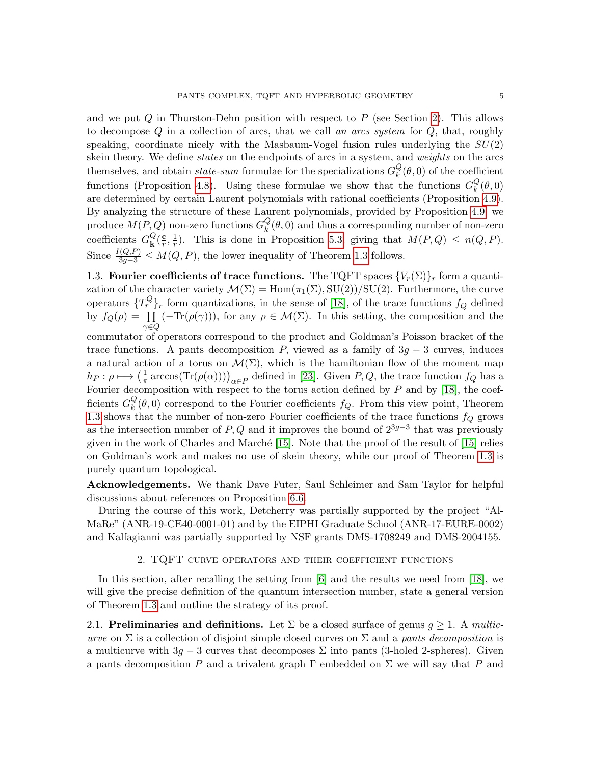and we put  $Q$  in Thurston-Dehn position with respect to  $P$  (see Section [2\)](#page-4-0). This allows to decompose  $Q$  in a collection of arcs, that we call an arcs system for  $Q$ , that, roughly speaking, coordinate nicely with the Masbaum-Vogel fusion rules underlying the  $SU(2)$ skein theory. We define *states* on the endpoints of arcs in a system, and *weights* on the arcs themselves, and obtain *state-sum* formulae for the specializations  $G_k^Q$  $\mathcal{L}_{k}(\theta,0)$  of the coefficient functions (Proposition [4.8\)](#page-15-0). Using these formulae we show that the functions  $G_k^Q$  $\mathcal{L}_{k}(\theta,0)$ are determined by certain Laurent polynomials with rational coefficients (Proposition [4.9\)](#page-16-0). By analyzing the structure of these Laurent polynomials, provided by Proposition [4.9,](#page-16-0) we produce  $M(P,Q)$  non-zero functions  $G_k^Q$  $\mathcal{L}_{k}^{Q}(\theta,0)$  and thus a corresponding number of non-zero coefficients  $G_{\mathbf{k}}^{Q}$  $\frac{Q}{\mathbf{k}}(\frac{\mathbf{c}}{r}% )^{2}$  $\frac{\mathbf{c}}{r}, \frac{1}{r}$  $\frac{1}{r}$ ). This is done in Proposition [5.3,](#page-18-0) giving that  $M(P,Q) \leq n(Q, P)$ . Since  $\frac{I(Q,P)}{3g-3} \leq M(Q,P)$ , the lower inequality of Theorem [1.3](#page-3-0) follows.

1.3. Fourier coefficients of trace functions. The TQFT spaces  ${V_r(\Sigma)}_r$  form a quantization of the character variety  $\mathcal{M}(\Sigma) = \text{Hom}(\pi_1(\Sigma), \text{SU}(2))/\text{SU}(2)$ . Furthermore, the curve operators  $\{T_r^Q\}_r$  form quantizations, in the sense of [\[18\]](#page-36-2), of the trace functions  $f_Q$  defined by  $f_Q(\rho) = \prod$  $\gamma{\in}Q$  $(-\text{Tr}(\rho(\gamma)))$ , for any  $\rho \in \mathcal{M}(\Sigma)$ . In this setting, the composition and the

commutator of operators correspond to the product and Goldman's Poisson bracket of the trace functions. A pants decomposition P, viewed as a family of  $3g - 3$  curves, induces a natural action of a torus on  $\mathcal{M}(\Sigma)$ , which is the hamiltonian flow of the moment map  $h_P : \rho \longmapsto \left(\frac{1}{\pi}\right)$  $\frac{1}{\pi}$  arccos(Tr( $\rho(\alpha)$ )))<sub> $\alpha \in P$ </sub> defined in [\[23\]](#page-37-8). Given P, Q, the trace function  $f_Q$  has a Fourier decomposition with respect to the torus action defined by  $P$  and by [\[18\]](#page-36-2), the coefficients  $G_k^Q$  $\mathcal{L}_{k}^{Q}(\theta,0)$  correspond to the Fourier coefficients  $f_{Q}$ . From this view point, Theorem [1.3](#page-3-0) shows that the number of non-zero Fourier coefficients of the trace functions  $f_Q$  grows as the intersection number of P, Q and it improves the bound of  $2^{3g-3}$  that was previously given in the work of Charles and Marché  $[15]$ . Note that the proof of the result of  $[15]$  relies on Goldman's work and makes no use of skein theory, while our proof of Theorem [1.3](#page-3-0) is purely quantum topological.

Acknowledgements. We thank Dave Futer, Saul Schleimer and Sam Taylor for helpful discussions about references on Proposition [6.6.](#page-26-1)

During the course of this work, Detcherry was partially supported by the project "Al-MaRe" (ANR-19-CE40-0001-01) and by the EIPHI Graduate School (ANR-17-EURE-0002) and Kalfagianni was partially supported by NSF grants DMS-1708249 and DMS-2004155.

# 2. TQFT curve operators and their coefficient functions

<span id="page-4-0"></span>In this section, after recalling the setting from [\[6\]](#page-36-0) and the results we need from [\[18\]](#page-36-2), we will give the precise definition of the quantum intersection number, state a general version of Theorem [1.3](#page-3-0) and outline the strategy of its proof.

2.1. Preliminaries and definitions. Let  $\Sigma$  be a closed surface of genus  $q \geq 1$ . A multicurve on  $\Sigma$  is a collection of disjoint simple closed curves on  $\Sigma$  and a pants decomposition is a multicurve with  $3g - 3$  curves that decomposes  $\Sigma$  into pants (3-holed 2-spheres). Given a pants decomposition P and a trivalent graph  $\Gamma$  embedded on  $\Sigma$  we will say that P and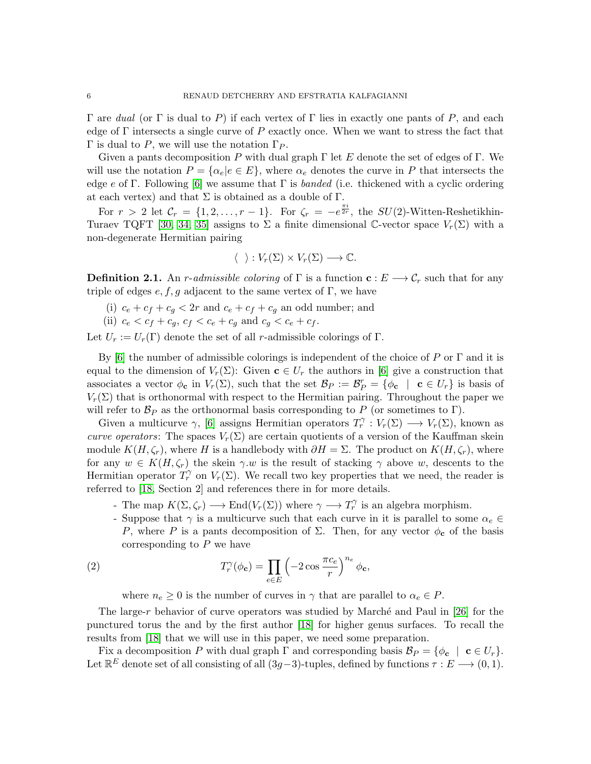Γ are dual (or Γ is dual to P) if each vertex of Γ lies in exactly one pants of P, and each edge of  $\Gamma$  intersects a single curve of P exactly once. When we want to stress the fact that Γ is dual to P, we will use the notation  $Γ_P$ .

Given a pants decomposition P with dual graph  $\Gamma$  let E denote the set of edges of  $\Gamma$ . We will use the notation  $P = \{\alpha_e | e \in E\}$ , where  $\alpha_e$  denotes the curve in P that intersects the edge e of Γ. Following [\[6\]](#page-36-0) we assume that Γ is banded (i.e. thickened with a cyclic ordering at each vertex) and that  $\Sigma$  is obtained as a double of  $\Gamma$ .

For  $r > 2$  let  $\mathcal{C}_r = \{1, 2, \ldots, r-1\}$ . For  $\zeta_r = -e^{\frac{\pi i}{2r}}$ , the  $SU(2)$ -Witten-Reshetikhin-Turaev TQFT [\[30,](#page-37-9) [34,](#page-37-1) [35\]](#page-37-10) assigns to  $\Sigma$  a finite dimensional C-vector space  $V_r(\Sigma)$  with a non-degenerate Hermitian pairing

$$
\langle \ \ \rangle: V_r(\Sigma) \times V_r(\Sigma) \longrightarrow \mathbb{C}.
$$

<span id="page-5-0"></span>**Definition 2.1.** An r-admissible coloring of  $\Gamma$  is a function  $\mathbf{c}: E \longrightarrow \mathcal{C}_r$  such that for any triple of edges  $e, f, g$  adjacent to the same vertex of Γ, we have

- (i)  $c_e + c_f + c_g < 2r$  and  $c_e + c_f + c_g$  an odd number; and
- (ii)  $c_e < c_f + c_g$ ,  $c_f < c_e + c_g$  and  $c_g < c_e + c_f$ .

Let  $U_r := U_r(\Gamma)$  denote the set of all r-admissible colorings of  $\Gamma$ .

By [\[6\]](#page-36-0) the number of admissible colorings is independent of the choice of P or  $\Gamma$  and it is equal to the dimension of  $V_r(\Sigma)$ : Given  $\mathbf{c} \in U_r$  the authors in [\[6\]](#page-36-0) give a construction that associates a vector  $\phi_{\mathbf{c}}$  in  $V_r(\Sigma)$ , such that the set  $\mathcal{B}_P := \mathcal{B}_P^r = {\phi_{\mathbf{c}} \mid \mathbf{c} \in U_r}$  is basis of  $V_r(\Sigma)$  that is orthonormal with respect to the Hermitian pairing. Throughout the paper we will refer to  $\mathcal{B}_P$  as the orthonormal basis corresponding to P (or sometimes to Γ).

Given a multicurve  $\gamma$ , [\[6\]](#page-36-0) assigns Hermitian operators  $T_r^{\gamma}: V_r(\Sigma) \longrightarrow V_r(\Sigma)$ , known as curve operators: The spaces  $V_r(\Sigma)$  are certain quotients of a version of the Kauffman skein module  $K(H, \zeta_r)$ , where H is a handlebody with  $\partial H = \Sigma$ . The product on  $K(H, \zeta_r)$ , where for any  $w \in K(H, \zeta_r)$  the skein  $\gamma w$  is the result of stacking  $\gamma$  above w, descents to the Hermitian operator  $T_r^{\gamma}$  on  $V_r(\Sigma)$ . We recall two key properties that we need, the reader is referred to [\[18,](#page-36-2) Section 2] and references there in for more details.

- The map  $K(\Sigma, \zeta_r) \longrightarrow \text{End}(V_r(\Sigma))$  where  $\gamma \longrightarrow T_r^{\gamma}$  is an algebra morphism.
- Suppose that  $\gamma$  is a multicurve such that each curve in it is parallel to some  $\alpha_e \in$ P, where P is a pants decomposition of  $\Sigma$ . Then, for any vector  $\phi_c$  of the basis corresponding to  $P$  we have

(2) 
$$
T_r^{\gamma}(\phi_{\mathbf{c}}) = \prod_{e \in E} \left( -2 \cos \frac{\pi c_e}{r} \right)^{n_e} \phi_{\mathbf{c}},
$$

<span id="page-5-1"></span>where  $n_e \geq 0$  is the number of curves in  $\gamma$  that are parallel to  $\alpha_e \in P$ .

The large- $r$  behavior of curve operators was studied by Marché and Paul in [\[26\]](#page-37-11) for the punctured torus the and by the first author [\[18\]](#page-36-2) for higher genus surfaces. To recall the results from [\[18\]](#page-36-2) that we will use in this paper, we need some preparation.

Fix a decomposition P with dual graph  $\Gamma$  and corresponding basis  $\mathcal{B}_P = \{\phi_{\mathbf{c}} \mid \mathbf{c} \in U_r\}.$ Let  $\mathbb{R}^E$  denote set of all consisting of all  $(3g-3)$ -tuples, defined by functions  $\tau : E \longrightarrow (0,1)$ .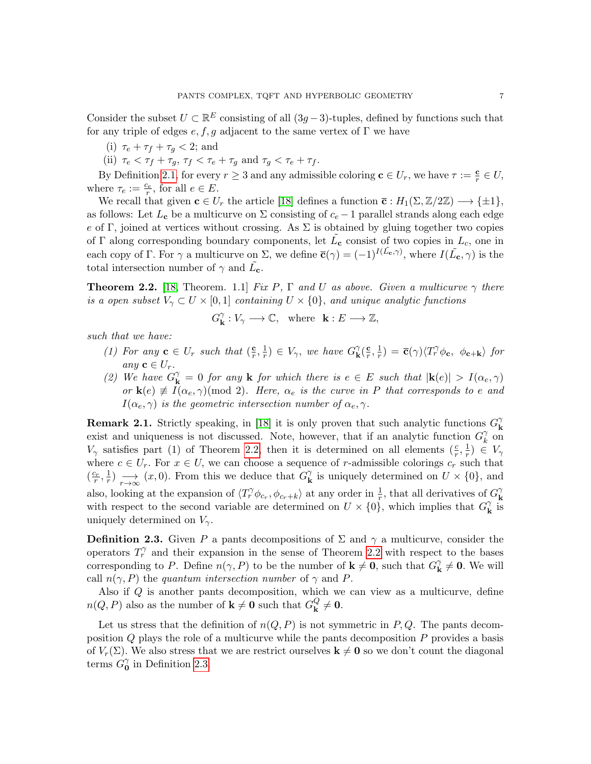Consider the subset  $U \subset \mathbb{R}^E$  consisting of all  $(3g-3)$ -tuples, defined by functions such that for any triple of edges  $e, f, g$  adjacent to the same vertex of  $\Gamma$  we have

- (i)  $\tau_e + \tau_f + \tau_q < 2$ ; and
- (ii)  $\tau_e < \tau_f + \tau_g$ ,  $\tau_f < \tau_e + \tau_g$  and  $\tau_g < \tau_e + \tau_f$ .

By Definition [2.1,](#page-5-0) for every  $r \geq 3$  and any admissible coloring  $\mathbf{c} \in U_r$ , we have  $\tau := \frac{\mathbf{c}}{r} \in U$ , where  $\tau_e := \frac{c_e}{r}$ , for all  $e \in E$ .

We recall that given  $\mathbf{c} \in U_r$  the article [\[18\]](#page-36-2) defines a function  $\overline{\mathbf{c}} : H_1(\Sigma, \mathbb{Z}/2\mathbb{Z}) \longrightarrow \{\pm 1\},\$ as follows: Let  $L_c$  be a multicurve on  $\Sigma$  consisting of  $c_e - 1$  parallel strands along each edge e of Γ, joined at vertices without crossing. As  $\Sigma$  is obtained by gluing together two copies of  $\Gamma$  along corresponding boundary components, let  $\tilde{L}_{\mathbf{c}}$  consist of two copies in  $L_c$ , one in each copy of Γ. For  $\gamma$  a multicurve on Σ, we define  $\bar{\mathbf{c}}(\gamma) = (-1)^{I(\tilde{L}_{\mathbf{c}}, \gamma)}$ , where  $I(\tilde{L}_{\mathbf{c}}, \gamma)$  is the total intersection number of  $\gamma$  and  $\tilde{L}_{c}$ .

<span id="page-6-0"></span>**Theorem 2.2.** [\[18,](#page-36-2) Theorem. 1.1] Fix P,  $\Gamma$  and U as above. Given a multicurve  $\gamma$  there is a open subset  $V_{\gamma} \subset U \times [0,1]$  containing  $U \times \{0\}$ , and unique analytic functions

$$
G^\gamma_\mathbf{k} : V_\gamma \longrightarrow \mathbb{C}, \ \ \text{where} \ \ \mathbf{k}: E \longrightarrow \mathbb{Z},
$$

such that we have:

- (1) For any  $\mathbf{c} \in U_r$  such that  $(\frac{\mathbf{c}}{r})$  $\frac{\mathbf{c}}{r}, \frac{1}{r}$  $(\frac{1}{r}) \in V_{\gamma}$ , we have  $G_{\mathbf{k}}^{\gamma}$  $\frac{\gamma}{\mathbf{k}}(\frac{\mathbf{c}}{r}% )^{2}$  $\frac{\mathbf{c}}{r}, \frac{1}{r}$  $(\frac{1}{r}) = \overline{\mathbf{c}}(\gamma)\langle T_r^{\gamma} \phi_{\mathbf{c}}, \phi_{\mathbf{c}+\mathbf{k}} \rangle$  for any  $\mathbf{c} \in U_r$ .
- (2) We have  $G_{\mathbf{k}}^{\gamma} = 0$  for any  $\mathbf{k}$  for which there is  $e \in E$  such that  $|\mathbf{k}(e)| > I(\alpha_e, \gamma)$ or  $\mathbf{k}(e) \not\equiv I(\alpha_e, \gamma) \pmod{2}$ . Here,  $\alpha_e$  is the curve in P that corresponds to e and  $I(\alpha_e, \gamma)$  is the geometric intersection number of  $\alpha_e, \gamma$ .

**Remark 2.1.** Strictly speaking, in [\[18\]](#page-36-2) it is only proven that such analytic functions  $G_k^{\gamma}$ k exist and uniqueness is not discussed. Note, however, that if an analytic function  $G_k^{\gamma}$  $\hat{k}$  on  $V_{\gamma}$  satisfies part (1) of Theorem [2.2,](#page-6-0) then it is determined on all elements  $(\frac{c}{r}, \frac{1}{r})$  $(\frac{1}{r}) \in V_{\gamma}$ where  $c \in U_r$ . For  $x \in U$ , we can choose a sequence of r-admissible colorings  $c_r$  such that  $\left(\frac{c_r}{r},\frac{1}{r}\right)$  $\frac{1}{r}$ )  $\longrightarrow_{r\to\infty}$   $(x,0)$ . From this we deduce that  $G^{\gamma}_{\mathbf{k}}$  $\mathbf{k}$  is uniquely determined on  $U \times \{0\}$ , and also, looking at the expansion of  $\langle T_r^{\gamma} \phi_{c_r}, \phi_{c_r+k} \rangle$  at any order in  $\frac{1}{r}$ , that all derivatives of  $G_{\mathbf{k}}^{\gamma}$ k with respect to the second variable are determined on  $U \times \{0\}$ , which implies that  $G_{\mathbf{k}}^{\gamma}$  $_{\mathbf{k}}^{\gamma}$  is uniquely determined on  $V_{\gamma}$ .

<span id="page-6-1"></span>**Definition 2.3.** Given P a pants decompositions of  $\Sigma$  and  $\gamma$  a multicurve, consider the operators  $T_r^{\gamma}$  and their expansion in the sense of Theorem [2.2](#page-6-0) with respect to the bases corresponding to P. Define  $n(\gamma, P)$  to be the number of  $\mathbf{k} \neq \mathbf{0}$ , such that  $G_{\mathbf{k}}^{\gamma}$  $\mathbf{R}^{\gamma} \neq \mathbf{0}$ . We will call  $n(\gamma, P)$  the quantum intersection number of  $\gamma$  and P.

Also if Q is another pants decomposition, which we can view as a multicurve, define  $n(Q, P)$  also as the number of  $\mathbf{k} \neq \mathbf{0}$  such that  $G_{\mathbf{k}}^{Q}$  $\frac{\mathsf{Q}}{\mathsf{k}}\neq 0.$ 

Let us stress that the definition of  $n(Q, P)$  is not symmetric in P, Q. The pants decomposition Q plays the role of a multicurve while the pants decomposition P provides a basis of  $V_r(\Sigma)$ . We also stress that we are restrict ourselves  $\mathbf{k} \neq \mathbf{0}$  so we don't count the diagonal terms  $G_0^{\gamma}$  $\begin{matrix} \gamma \\ \mathbf{0} \end{matrix}$  in Definition [2.3.](#page-6-1)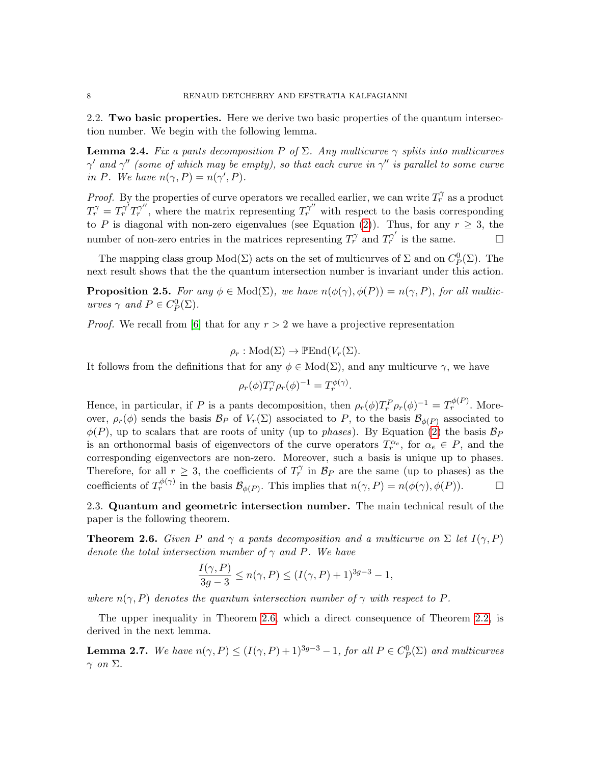2.2. Two basic properties. Here we derive two basic properties of the quantum intersection number. We begin with the following lemma.

<span id="page-7-1"></span>**Lemma 2.4.** Fix a pants decomposition P of  $\Sigma$ . Any multicurve  $\gamma$  splits into multicurves  $\gamma'$  and  $\gamma''$  (some of which may be empty), so that each curve in  $\gamma''$  is parallel to some curve in P. We have  $n(\gamma, P) = n(\gamma', P)$ .

*Proof.* By the properties of curve operators we recalled earlier, we can write  $T_r^{\gamma}$  as a product  $T_r^{\gamma} = T_r^{\gamma'} T_r^{\gamma''}$ , where the matrix representing  $T_r^{\gamma''}$  with respect to the basis corresponding to P is diagonal with non-zero eigenvalues (see Equation [\(2\)](#page-5-1)). Thus, for any  $r \geq 3$ , the number of non-zero entries in the matrices representing  $T_r^{\gamma}$  and  $T_r^{\gamma'}$  is the same.

The mapping class group  $Mod(\Sigma)$  acts on the set of multicurves of  $\Sigma$  and on  $C_P^0(\Sigma)$ . The next result shows that the the quantum intersection number is invariant under this action.

<span id="page-7-2"></span>**Proposition 2.5.** For any  $\phi \in Mod(\Sigma)$ , we have  $n(\phi(\gamma), \phi(P)) = n(\gamma, P)$ , for all multicurves  $\gamma$  and  $P \in C_P^0(\Sigma)$ .

*Proof.* We recall from [\[6\]](#page-36-0) that for any  $r > 2$  we have a projective representation

$$
\rho_r: \mathrm{Mod}(\Sigma) \to \mathbb{P}\mathrm{End}(V_r(\Sigma)).
$$

It follows from the definitions that for any  $\phi \in Mod(\Sigma)$ , and any multicurve  $\gamma$ , we have

$$
\rho_r(\phi) T_r^{\gamma} \rho_r(\phi)^{-1} = T_r^{\phi(\gamma)}.
$$

Hence, in particular, if P is a pants decomposition, then  $\rho_r(\phi)T_r^P\rho_r(\phi)^{-1} = T_r^{\phi(P)}$ . Moreover,  $\rho_r(\phi)$  sends the basis  $\mathcal{B}_P$  of  $V_r(\Sigma)$  associated to P, to the basis  $\mathcal{B}_{\phi(P)}$  associated to  $\phi(P)$ , up to scalars that are roots of unity (up to *phases*). By Equation [\(2\)](#page-5-1) the basis  $\mathcal{B}_P$ is an orthonormal basis of eigenvectors of the curve operators  $T_r^{\alpha_e}$ , for  $\alpha_e \in P$ , and the corresponding eigenvectors are non-zero. Moreover, such a basis is unique up to phases. Therefore, for all  $r \geq 3$ , the coefficients of  $T_r^{\gamma}$  in  $\mathcal{B}_P$  are the same (up to phases) as the coefficients of  $T_r^{\phi(\gamma)}$  in the basis  $\mathcal{B}_{\phi(P)}$ . This implies that  $n(\gamma, P) = n(\phi(\gamma), \phi(P))$ .

2.3. Quantum and geometric intersection number. The main technical result of the paper is the following theorem.

<span id="page-7-0"></span>**Theorem 2.6.** Given P and  $\gamma$  a pants decomposition and a multicurve on  $\Sigma$  let  $I(\gamma, P)$ denote the total intersection number of  $\gamma$  and P. We have

$$
\frac{I(\gamma, P)}{3g - 3} \le n(\gamma, P) \le (I(\gamma, P) + 1)^{3g - 3} - 1,
$$

where  $n(\gamma, P)$  denotes the quantum intersection number of  $\gamma$  with respect to P.

The upper inequality in Theorem [2.6,](#page-7-0) which a direct consequence of Theorem [2.2,](#page-6-0) is derived in the next lemma.

**Lemma 2.7.** We have  $n(\gamma, P) \leq (I(\gamma, P) + 1)^{3g-3} - 1$ , for all  $P \in C_P^0(\Sigma)$  and multicurves  $\gamma$  on  $\Sigma$ .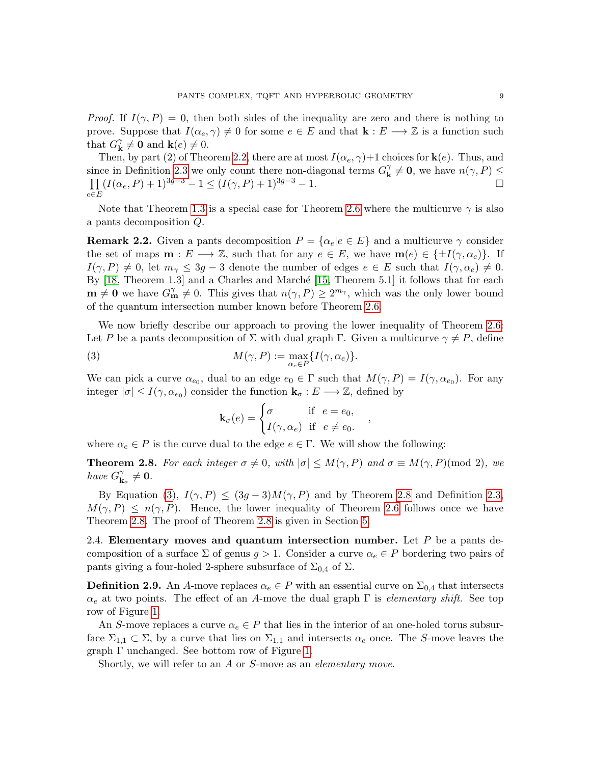*Proof.* If  $I(\gamma, P) = 0$ , then both sides of the inequality are zero and there is nothing to prove. Suppose that  $I(\alpha_e, \gamma) \neq 0$  for some  $e \in E$  and that  $\mathbf{k} : E \longrightarrow \mathbb{Z}$  is a function such that  $G_{\mathbf{k}}^{\gamma}$  $\mathbf{k} \neq \mathbf{0}$  and  $\mathbf{k}(e) \neq 0$ .

Then, by part (2) of Theorem [2.2,](#page-6-0) there are at most  $I(\alpha_e, \gamma)$ +1 choices for **k**(*e*). Thus, and since in Definition [2.3](#page-6-1) we only count there non-diagonal terms  $G_{\mathbf{k}}^{\gamma}$  $\gamma_{\mathbf{k}}^{\gamma} \neq \mathbf{0}$ , we have  $n(\gamma, P) \leq$  $\Pi$ e∈E  $(I(\alpha_e, P) + 1)^{3g-3} - 1 \le (I(\gamma, P) + 1)^{3g-3} - 1.$ 

Note that Theorem [1.3](#page-3-0) is a special case for Theorem [2.6](#page-7-0) where the multicurve  $\gamma$  is also a pants decomposition Q.

<span id="page-8-3"></span>**Remark 2.2.** Given a pants decomposition  $P = \{ \alpha_e | e \in E \}$  and a multicurve  $\gamma$  consider the set of maps  $\mathbf{m}: E \longrightarrow \mathbb{Z}$ , such that for any  $e \in E$ , we have  $\mathbf{m}(e) \in \{\pm I(\gamma, \alpha_e)\}.$  If  $I(\gamma, P) \neq 0$ , let  $m_{\gamma} \leq 3g - 3$  denote the number of edges  $e \in E$  such that  $I(\gamma, \alpha_e) \neq 0$ . By  $[18,$  Theorem 1.3] and a Charles and Marché  $[15,$  Theorem 5.1] it follows that for each  $\mathbf{m} \neq \mathbf{0}$  we have  $G_{\mathbf{m}}^{\gamma} \neq 0$ . This gives that  $n(\gamma, P) \geq 2^{m_{\gamma}}$ , which was the only lower bound of the quantum intersection number known before Theorem [2.6.](#page-7-0)

We now briefly describe our approach to proving the lower inequality of Theorem [2.6:](#page-7-0) Let P be a pants decomposition of  $\Sigma$  with dual graph Γ. Given a multicurve  $\gamma \neq P$ , define

(3) 
$$
M(\gamma, P) := \max_{\alpha_e \in P} \{I(\gamma, \alpha_e)\}.
$$

We can pick a curve  $\alpha_{e_0}$ , dual to an edge  $e_0 \in \Gamma$  such that  $M(\gamma, P) = I(\gamma, \alpha_{e_0})$ . For any integer  $|\sigma| \leq I(\gamma, \alpha_{e_0})$  consider the function  $\mathbf{k}_{\sigma}: E \longrightarrow \mathbb{Z}$ , defined by

<span id="page-8-1"></span>
$$
\mathbf{k}_{\sigma}(e) = \begin{cases} \sigma & \text{if } e = e_0, \\ I(\gamma, \alpha_e) & \text{if } e \neq e_0. \end{cases}
$$

,

where  $\alpha_e \in P$  is the curve dual to the edge  $e \in \Gamma$ . We will show the following:

<span id="page-8-2"></span>**Theorem 2.8.** For each integer  $\sigma \neq 0$ , with  $|\sigma| \leq M(\gamma, P)$  and  $\sigma \equiv M(\gamma, P) \pmod{2}$ , we have  $G_{\mathbf{k}}^{\gamma}$  $\mathbf{h}_{\mathbf{k}_{\sigma}}^{\gamma}\neq\mathbf{0}.$ 

By Equation [\(3\)](#page-8-1),  $I(\gamma, P) \leq (3g - 3)M(\gamma, P)$  and by Theorem [2.8](#page-8-2) and Definition [2.3,](#page-6-1)  $M(\gamma, P) \leq n(\gamma, P)$ . Hence, the lower inequality of Theorem [2.6](#page-7-0) follows once we have Theorem [2.8.](#page-8-2) The proof of Theorem [2.8](#page-8-2) is given in Section [5.](#page-17-0)

2.4. Elementary moves and quantum intersection number. Let  $P$  be a pants decomposition of a surface  $\Sigma$  of genus  $g > 1$ . Consider a curve  $\alpha_e \in P$  bordering two pairs of pants giving a four-holed 2-sphere subsurface of  $\Sigma_{0,4}$  of  $\Sigma$ .

<span id="page-8-0"></span>**Definition 2.9.** An A-move replaces  $\alpha_e \in P$  with an essential curve on  $\Sigma_{0,4}$  that intersects  $\alpha_e$  at two points. The effect of an A-move the dual graph  $\Gamma$  is *elementary shift*. See top row of Figure [1.](#page-9-0)

An S-move replaces a curve  $\alpha_e \in P$  that lies in the interior of an one-holed torus subsurface  $\Sigma_{1,1} \subset \Sigma$ , by a curve that lies on  $\Sigma_{1,1}$  and intersects  $\alpha_e$  once. The S-move leaves the graph Γ unchanged. See bottom row of Figure [1.](#page-9-0)

Shortly, we will refer to an A or S-move as an elementary move.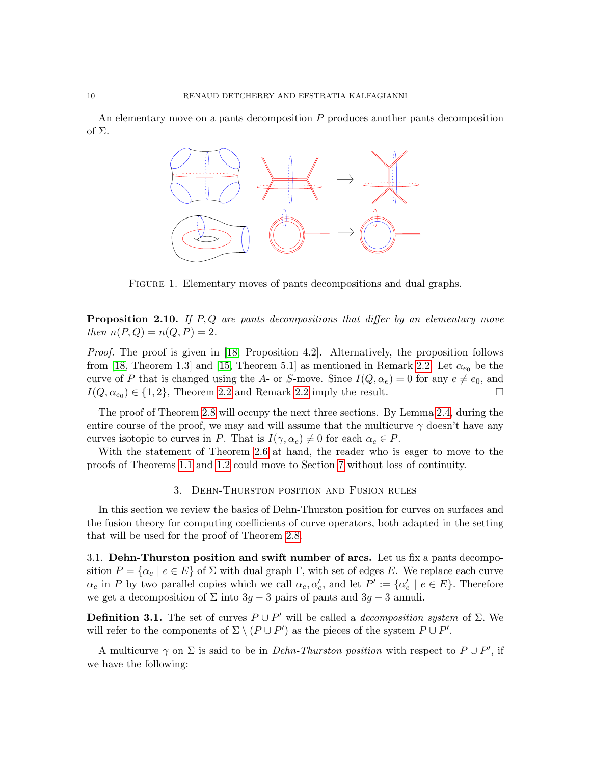An elementary move on a pants decomposition  $P$  produces another pants decomposition of Σ.



<span id="page-9-0"></span>Figure 1. Elementary moves of pants decompositions and dual graphs.

<span id="page-9-2"></span>**Proposition 2.10.** If  $P, Q$  are pants decompositions that differ by an elementary move then  $n(P,Q) = n(Q, P) = 2$ .

Proof. The proof is given in [\[18,](#page-36-2) Proposition 4.2]. Alternatively, the proposition follows from [\[18,](#page-36-2) Theorem 1.3] and [\[15,](#page-36-11) Theorem 5.1] as mentioned in Remark [2.2:](#page-8-3) Let  $\alpha_{e_0}$  be the curve of P that is changed using the A- or S-move. Since  $I(Q, \alpha_e) = 0$  for any  $e \neq e_0$ , and  $I(Q, \alpha_{e_0}) \in \{1, 2\}$ , Theorem [2.2](#page-8-3) and Remark 2.2 imply the result.

The proof of Theorem [2.8](#page-8-2) will occupy the next three sections. By Lemma [2.4,](#page-7-1) during the entire course of the proof, we may and will assume that the multicurve  $\gamma$  doesn't have any curves isotopic to curves in P. That is  $I(\gamma, \alpha_e) \neq 0$  for each  $\alpha_e \in P$ .

With the statement of Theorem [2.6](#page-7-0) at hand, the reader who is eager to move to the proofs of Theorems [1.1](#page-1-0) and [1.2](#page-2-1) could move to Section [7](#page-26-0) without loss of continuity.

### 3. Dehn-Thurston position and Fusion rules

<span id="page-9-1"></span>In this section we review the basics of Dehn-Thurston position for curves on surfaces and the fusion theory for computing coefficients of curve operators, both adapted in the setting that will be used for the proof of Theorem [2.8.](#page-8-2)

3.1. Dehn-Thurston position and swift number of arcs. Let us fix a pants decomposition  $P = {\alpha_e | e \in E}$  of  $\Sigma$  with dual graph Γ, with set of edges E. We replace each curve  $\alpha_e$  in P by two parallel copies which we call  $\alpha_e, \alpha'_e$ , and let  $P' := {\alpha'_e \mid e \in E}$ . Therefore we get a decomposition of  $\Sigma$  into  $3g - 3$  pairs of pants and  $3g - 3$  annuli.

**Definition 3.1.** The set of curves  $P \cup P'$  will be called a *decomposition system* of  $\Sigma$ . We will refer to the components of  $\Sigma \setminus (P \cup P')$  as the pieces of the system  $P \cup P'$ .

A multicurve  $\gamma$  on  $\Sigma$  is said to be in *Dehn-Thurston position* with respect to  $P \cup P'$ , if we have the following: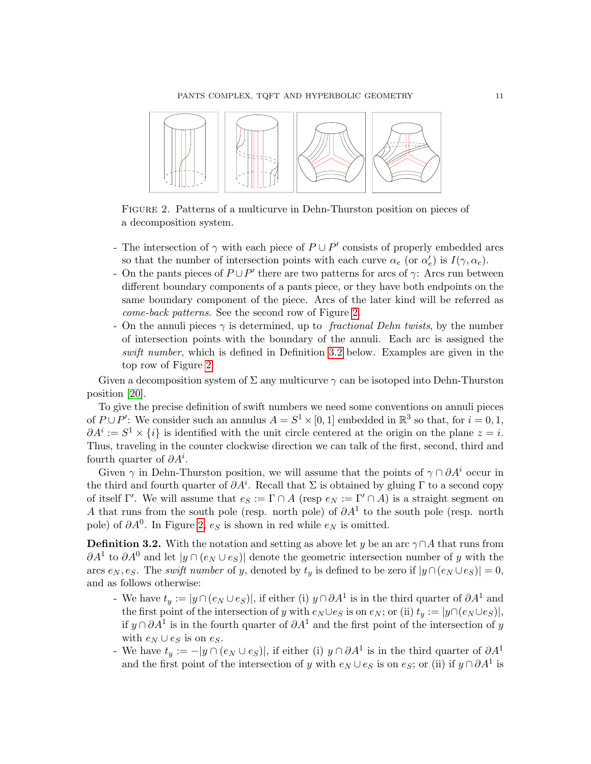PANTS COMPLEX, TQFT AND HYPERBOLIC GEOMETRY 11



<span id="page-10-0"></span>Figure 2. Patterns of a multicurve in Dehn-Thurston position on pieces of a decomposition system.

- The intersection of  $\gamma$  with each piece of  $P \cup P'$  consists of properly embedded arcs so that the number of intersection points with each curve  $\alpha_e$  (or  $\alpha'_e$ ) is  $I(\gamma, \alpha_e)$ .
- On the pants pieces of  $P \cup P'$  there are two patterns for arcs of  $\gamma$ : Arcs run between different boundary components of a pants piece, or they have both endpoints on the same boundary component of the piece. Arcs of the later kind will be referred as come-back patterns. See the second row of Figure [2.](#page-10-0)
- On the annuli pieces  $\gamma$  is determined, up to *fractional Dehn twists*, by the number of intersection points with the boundary of the annuli. Each arc is assigned the swift number, which is defined in Definition [3.2](#page-10-1) below. Examples are given in the top row of Figure [2.](#page-10-0)

Given a decomposition system of  $\Sigma$  any multicurve  $\gamma$  can be isotoped into Dehn-Thurston position [\[20\]](#page-37-12).

To give the precise definition of swift numbers we need some conventions on annuli pieces of  $P \cup P'$ : We consider such an annulus  $A = S^1 \times [0, 1]$  embedded in  $\mathbb{R}^3$  so that, for  $i = 0, 1$ ,  $\partial A^i := S^1 \times \{i\}$  is identified with the unit circle centered at the origin on the plane  $z = i$ . Thus, traveling in the counter clockwise direction we can talk of the first, second, third and fourth quarter of  $\partial A^i$ .

Given  $\gamma$  in Dehn-Thurston position, we will assume that the points of  $\gamma \cap \partial A^i$  occur in the third and fourth quarter of  $\partial A^i$ . Recall that  $\Sigma$  is obtained by gluing  $\Gamma$  to a second copy of itself Γ'. We will assume that  $e_S := \Gamma \cap A$  (resp  $e_N := \Gamma' \cap A$ ) is a straight segment on A that runs from the south pole (resp. north pole) of  $\partial A^1$  to the south pole (resp. north pole) of  $\partial A^0$ . In Figure [2,](#page-10-0)  $e_S$  is shown in red while  $e_N$  is omitted.

<span id="page-10-1"></span>**Definition 3.2.** With the notation and setting as above let y be an arc  $\gamma \cap A$  that runs from  $\partial A^1$  to  $\partial A^0$  and let  $|y \cap (e_N \cup e_S)|$  denote the geometric intersection number of y with the arcs  $e_N, e_S$ . The swift number of y, denoted by  $t_y$  is defined to be zero if  $|y \cap (e_N \cup e_S)| = 0$ , and as follows otherwise:

- We have  $t_y := |y \cap (e_N \cup e_S)|$ , if either (i)  $y \cap \partial A^1$  is in the third quarter of  $\partial A^1$  and the first point of the intersection of y with  $e_N \cup e_S$  is on  $e_N$ ; or (ii)  $t_y := |y \cap (e_N \cup e_S)|$ , if  $y \cap \partial A^1$  is in the fourth quarter of  $\partial A^1$  and the first point of the intersection of y with  $e_N \cup e_S$  is on  $e_S$ .
- We have  $t_y := -|y \cap (e_N \cup e_S)|$ , if either (i)  $y \cap \partial A^1$  is in the third quarter of  $\partial A^1$ and the first point of the intersection of y with  $e_N \cup e_S$  is on  $e_S$ ; or (ii) if  $y \cap \partial A^1$  is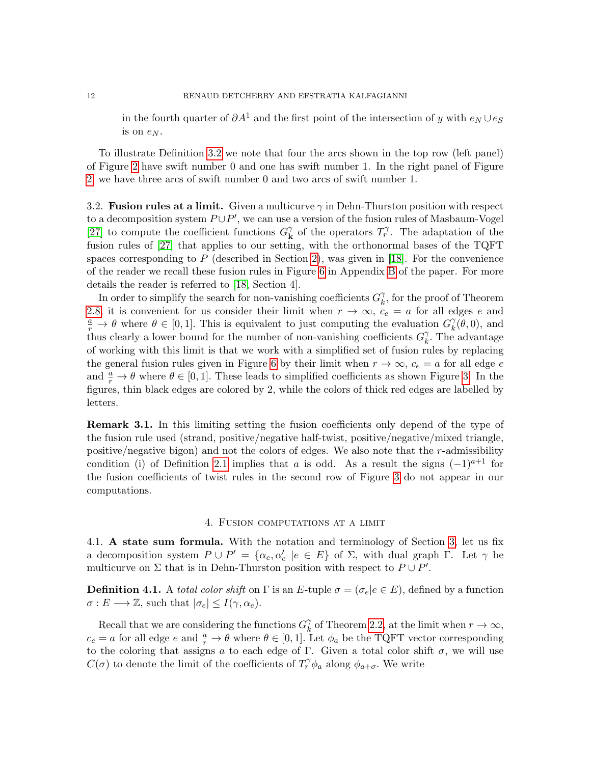in the fourth quarter of  $\partial A^1$  and the first point of the intersection of y with  $e_N \cup e_S$ is on  $e_N$ .

To illustrate Definition [3.2](#page-10-1) we note that four the arcs shown in the top row (left panel) of Figure [2](#page-10-0) have swift number 0 and one has swift number 1. In the right panel of Figure [2,](#page-10-0) we have three arcs of swift number 0 and two arcs of swift number 1.

3.2. Fusion rules at a limit. Given a multicurve  $\gamma$  in Dehn-Thurston position with respect to a decomposition system  $P \cup P'$ , we can use a version of the fusion rules of Masbaum-Vogel [\[27\]](#page-37-13) to compute the coefficient functions  $G_{\mathbf{k}}^{\gamma}$  $\chi$ <sup>7</sup> of the operators  $T_r^{\gamma}$ . The adaptation of the fusion rules of [\[27\]](#page-37-13) that applies to our setting, with the orthonormal bases of the TQFT spaces corresponding to  $P$  (described in Section [2\)](#page-4-0), was given in [\[18\]](#page-36-2). For the convenience of the reader we recall these fusion rules in Figure [6](#page-35-0) in Appendix [B](#page-35-1) of the paper. For more details the reader is referred to [\[18,](#page-36-2) Section 4].

In order to simplify the search for non-vanishing coefficients  $G_{k}^{\gamma}$  $\chi^{\gamma}_{k}$ , for the proof of Theorem [2.8,](#page-8-2) it is convenient for us consider their limit when  $r \to \infty$ ,  $c_e = a$  for all edges e and  $\frac{a}{r} \to \theta$  where  $\theta \in [0,1]$ . This is equivalent to just computing the evaluation  $G_k^{\gamma}$  $\eta_k^{\gamma}(\theta,0)$ , and thus clearly a lower bound for the number of non-vanishing coefficients  $G_k^{\gamma}$  $\chi^{\gamma}$ . The advantage of working with this limit is that we work with a simplified set of fusion rules by replacing the general fusion rules given in Figure [6](#page-35-0) by their limit when  $r \to \infty$ ,  $c_e = a$  for all edge e and  $\frac{a}{r} \to \theta$  where  $\theta \in [0, 1]$ . These leads to simplified coefficients as shown Figure [3.](#page-12-0) In the figures, thin black edges are colored by 2, while the colors of thick red edges are labelled by letters.

**Remark 3.1.** In this limiting setting the fusion coefficients only depend of the type of the fusion rule used (strand, positive/negative half-twist, positive/negative/mixed triangle, positive/negative bigon) and not the colors of edges. We also note that the  $r$ -admissibility condition (i) of Definition [2.1](#page-5-0) implies that a is odd. As a result the signs  $(-1)^{a+1}$  for the fusion coefficients of twist rules in the second row of Figure [3](#page-12-0) do not appear in our computations.

### 4. Fusion computations at a limit

<span id="page-11-0"></span>4.1. A state sum formula. With the notation and terminology of Section [3,](#page-9-1) let us fix a decomposition system  $P \cup P' = {\alpha_e, \alpha'_e \mid e \in E}$  of  $\Sigma$ , with dual graph  $\Gamma$ . Let  $\gamma$  be multicurve on  $\Sigma$  that is in Dehn-Thurston position with respect to  $P \cup P'$ .

**Definition 4.1.** A total color shift on  $\Gamma$  is an E-tuple  $\sigma = (\sigma_e | e \in E)$ , defined by a function  $\sigma: E \longrightarrow \mathbb{Z}$ , such that  $|\sigma_e| \leq I(\gamma, \alpha_e)$ .

Recall that we are considering the functions  $G_k^{\gamma}$  $\chi^{\gamma}$  of Theorem [2.2,](#page-6-0) at the limit when  $r \to \infty$ ,  $c_e = a$  for all edge  $e$  and  $\frac{a}{r} \to \theta$  where  $\theta \in [0, 1]$ . Let  $\phi_a$  be the TQFT vector corresponding to the coloring that assigns a to each edge of Γ. Given a total color shift  $\sigma$ , we will use  $C(\sigma)$  to denote the limit of the coefficients of  $T_r^{\gamma} \phi_a$  along  $\phi_{a+\sigma}$ . We write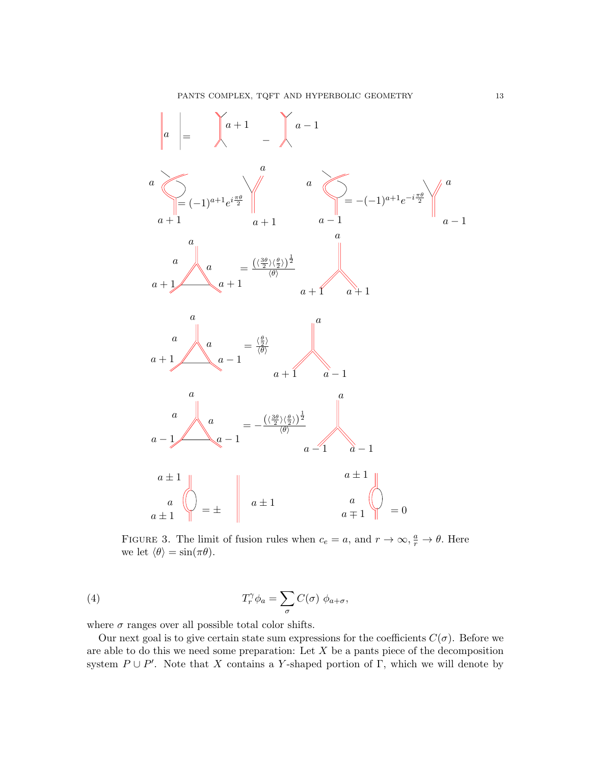

<span id="page-12-0"></span>FIGURE 3. The limit of fusion rules when  $c_e = a$ , and  $r \to \infty$ ,  $\frac{a}{r} \to \theta$ . Here we let  $\langle \theta \rangle = \sin(\pi \theta)$ .

(4) 
$$
T_r^{\gamma} \phi_a = \sum_{\sigma} C(\sigma) \phi_{a+\sigma},
$$

where  $\sigma$  ranges over all possible total color shifts.

Our next goal is to give certain state sum expressions for the coefficients  $C(\sigma)$ . Before we are able to do this we need some preparation: Let  $X$  be a pants piece of the decomposition system  $P \cup P'$ . Note that X contains a Y-shaped portion of Γ, which we will denote by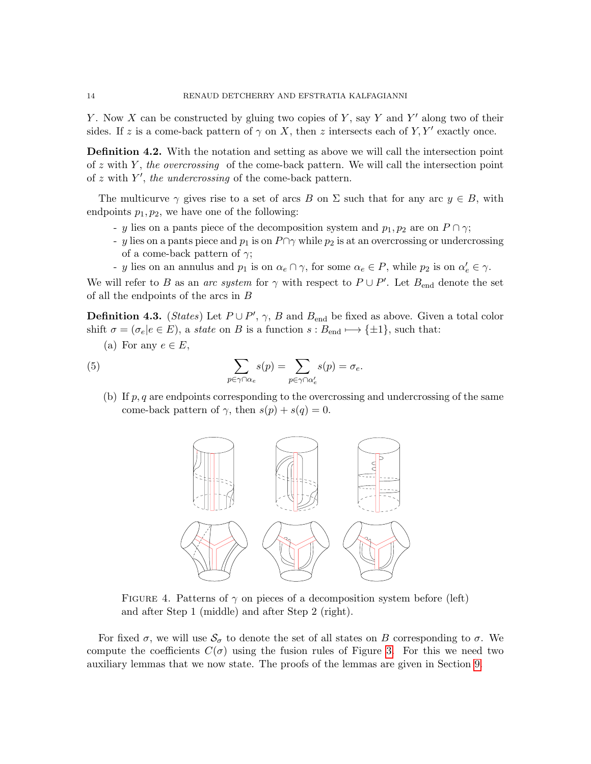Y. Now X can be constructed by gluing two copies of Y, say Y and Y' along two of their sides. If z is a come-back pattern of  $\gamma$  on X, then z intersects each of Y, Y' exactly once.

Definition 4.2. With the notation and setting as above we will call the intersection point of  $z$  with  $Y$ , the overcrossing of the come-back pattern. We will call the intersection point of  $z$  with  $Y'$ , the undercrossing of the come-back pattern.

The multicurve  $\gamma$  gives rise to a set of arcs B on  $\Sigma$  such that for any arc  $y \in B$ , with endpoints  $p_1, p_2$ , we have one of the following:

- y lies on a pants piece of the decomposition system and  $p_1, p_2$  are on  $P \cap \gamma$ ;
- y lies on a pants piece and  $p_1$  is on  $P \cap \gamma$  while  $p_2$  is at an overcrossing or undercrossing of a come-back pattern of  $\gamma$ ;
- y lies on an annulus and  $p_1$  is on  $\alpha_e \cap \gamma$ , for some  $\alpha_e \in P$ , while  $p_2$  is on  $\alpha'_e \in \gamma$ .

We will refer to B as an arc system for  $\gamma$  with respect to  $P \cup P'$ . Let  $B_{end}$  denote the set of all the endpoints of the arcs in B

<span id="page-13-1"></span>**Definition 4.3.** (*States*) Let  $P \cup P'$ ,  $\gamma$ , B and  $B_{\text{end}}$  be fixed as above. Given a total color shift  $\sigma = (\sigma_e | e \in E)$ , a state on B is a function  $s : B_{end} \longmapsto {\pm 1}$ , such that:

(a) For any  $e \in E$ ,

(5) 
$$
\sum_{p \in \gamma \cap \alpha_e} s(p) = \sum_{p \in \gamma \cap \alpha'_e} s(p) = \sigma_e.
$$

(b) If  $p, q$  are endpoints corresponding to the overcrossing and undercrossing of the same come-back pattern of  $\gamma$ , then  $s(p) + s(q) = 0$ .

<span id="page-13-2"></span>

<span id="page-13-0"></span>FIGURE 4. Patterns of  $\gamma$  on pieces of a decomposition system before (left) and after Step 1 (middle) and after Step 2 (right).

For fixed  $\sigma$ , we will use  $\mathcal{S}_{\sigma}$  to denote the set of all states on B corresponding to  $\sigma$ . We compute the coefficients  $C(\sigma)$  using the fusion rules of Figure [3.](#page-12-0) For this we need two auxiliary lemmas that we now state. The proofs of the lemmas are given in Section [9.](#page-31-0)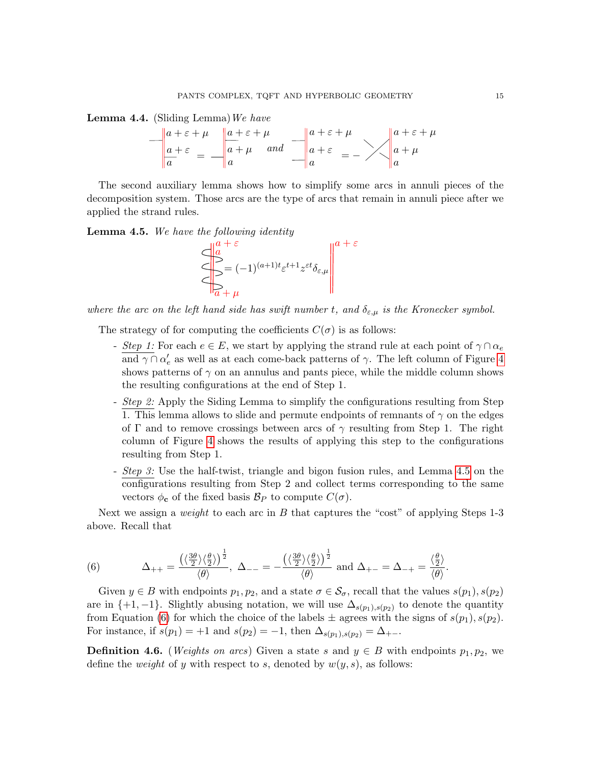<span id="page-14-2"></span>**Lemma 4.4.** (Sliding Lemma) We have

$$
-\begin{vmatrix} a+\varepsilon+\mu & a+\varepsilon+\mu \\ a+\varepsilon & a+\mu & and \end{vmatrix} \xrightarrow[a+\varepsilon]{a+\varepsilon+\mu} a + \varepsilon
$$

The second auxiliary lemma shows how to simplify some arcs in annuli pieces of the decomposition system. Those arcs are the type of arcs that remain in annuli piece after we applied the strand rules.

<span id="page-14-0"></span>**Lemma 4.5.** We have the following identity



where the arc on the left hand side has swift number t, and  $\delta_{\varepsilon,\mu}$  is the Kronecker symbol.

The strategy of for computing the coefficients  $C(\sigma)$  is as follows:

- Step 1: For each  $e \in E$ , we start by applying the strand rule at each point of  $\gamma \cap \alpha_e$ and  $\gamma \cap \alpha'_e$  as well as at each come-back patterns of  $\gamma$ . The left column of Figure [4](#page-13-0) shows patterns of  $\gamma$  on an annulus and pants piece, while the middle column shows the resulting configurations at the end of Step 1.
- *Step 2:* Apply the Siding Lemma to simplify the configurations resulting from Step 1. This lemma allows to slide and permute endpoints of remnants of  $\gamma$  on the edges of Γ and to remove crossings between arcs of  $\gamma$  resulting from Step 1. The right column of Figure [4](#page-13-0) shows the results of applying this step to the configurations resulting from Step 1.
- Step 3: Use the half-twist, triangle and bigon fusion rules, and Lemma [4.5](#page-14-0) on the configurations resulting from Step 2 and collect terms corresponding to the same vectors  $\phi_{\mathbf{c}}$  of the fixed basis  $\mathcal{B}_P$  to compute  $C(\sigma)$ .

Next we assign a *weight* to each arc in  $B$  that captures the "cost" of applying Steps 1-3 above. Recall that

<span id="page-14-1"></span>(6) 
$$
\Delta_{++} = \frac{\left(\langle \frac{3\theta}{2} \rangle \langle \frac{\theta}{2} \rangle\right)^{\frac{1}{2}}}{\langle \theta \rangle}, \ \Delta_{--} = -\frac{\left(\langle \frac{3\theta}{2} \rangle \langle \frac{\theta}{2} \rangle\right)^{\frac{1}{2}}}{\langle \theta \rangle} \text{ and } \Delta_{+-} = \Delta_{-+} = \frac{\langle \frac{\theta}{2} \rangle}{\langle \theta \rangle}.
$$

Given  $y \in B$  with endpoints  $p_1, p_2$ , and a state  $\sigma \in \mathcal{S}_{\sigma}$ , recall that the values  $s(p_1), s(p_2)$ are in  $\{+1, -1\}$ . Slightly abusing notation, we will use  $\Delta_{s(p_1), s(p_2)}$  to denote the quantity from Equation [\(6\)](#page-14-1) for which the choice of the labels  $\pm$  agrees with the signs of  $s(p_1), s(p_2)$ . For instance, if  $s(p_1) = +1$  and  $s(p_2) = -1$ , then  $\Delta_{s(p_1),s(p_2)} = \Delta_{+-}$ .

<span id="page-14-3"></span>**Definition 4.6.** (*Weights on arcs*) Given a state s and  $y \in B$  with endpoints  $p_1, p_2$ , we define the *weight* of y with respect to s, denoted by  $w(y, s)$ , as follows: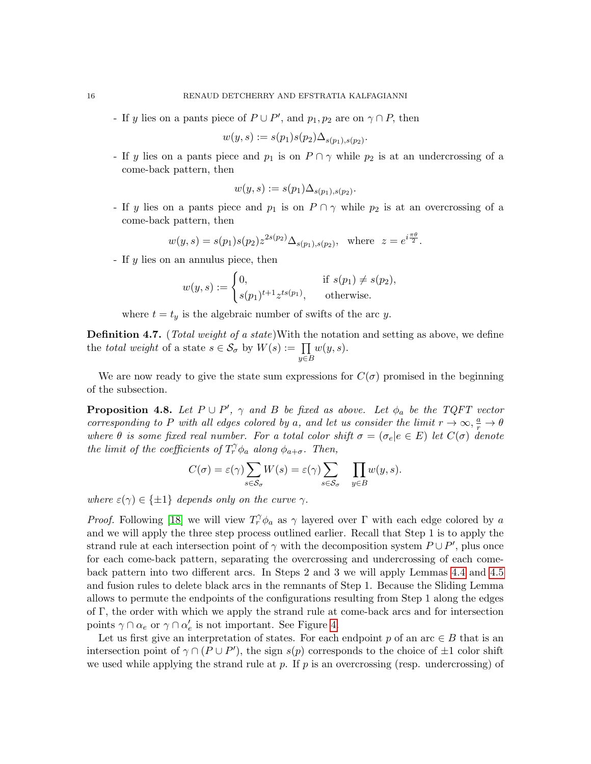- If y lies on a pants piece of  $P \cup P'$ , and  $p_1, p_2$  are on  $\gamma \cap P$ , then

$$
w(y,s) := s(p_1)s(p_2)\Delta_{s(p_1),s(p_2)}.
$$

- If y lies on a pants piece and  $p_1$  is on  $P \cap \gamma$  while  $p_2$  is at an undercrossing of a come-back pattern, then

$$
w(y, s) := s(p_1) \Delta_{s(p_1), s(p_2)}
$$
.

- If y lies on a pants piece and  $p_1$  is on  $P \cap \gamma$  while  $p_2$  is at an overcrossing of a come-back pattern, then

$$
w(y, s) = s(p_1)s(p_2)z^{2s(p_2)}\Delta_{s(p_1), s(p_2)}
$$
, where  $z = e^{i\frac{\pi\theta}{2}}$ .

- If y lies on an annulus piece, then

$$
w(y,s) := \begin{cases} 0, & \text{if } s(p_1) \neq s(p_2), \\ s(p_1)^{t+1} z^{ts(p_1)}, & \text{otherwise.} \end{cases}
$$

where  $t = t<sub>y</sub>$  is the algebraic number of swifts of the arc y.

Definition 4.7. (Total weight of a state)With the notation and setting as above, we define the total weight of a state  $s \in \mathcal{S}_{\sigma}$  by  $W(s) := \prod$ y∈B  $w(y, s)$ .

We are now ready to give the state sum expressions for  $C(\sigma)$  promised in the beginning of the subsection.

<span id="page-15-0"></span>**Proposition 4.8.** Let  $P \cup P'$ ,  $\gamma$  and B be fixed as above. Let  $\phi_a$  be the TQFT vector corresponding to P with all edges colored by a, and let us consider the limit  $r \to \infty$ ,  $\frac{a}{r} \to \theta$ where  $\theta$  is some fixed real number. For a total color shift  $\sigma = (\sigma_e | e \in E)$  let  $C(\sigma)$  denote the limit of the coefficients of  $T_r^{\gamma} \phi_a$  along  $\phi_{a+\sigma}$ . Then,

$$
C(\sigma) = \varepsilon(\gamma) \sum_{s \in \mathcal{S}_{\sigma}} W(s) = \varepsilon(\gamma) \sum_{s \in \mathcal{S}_{\sigma}} \prod_{y \in B} w(y, s).
$$

where  $\varepsilon(\gamma) \in \{\pm 1\}$  depends only on the curve  $\gamma$ .

*Proof.* Following [\[18\]](#page-36-2) we will view  $T_r^{\gamma} \phi_a$  as  $\gamma$  layered over  $\Gamma$  with each edge colored by a and we will apply the three step process outlined earlier. Recall that Step 1 is to apply the strand rule at each intersection point of  $\gamma$  with the decomposition system  $P \cup P'$ , plus once for each come-back pattern, separating the overcrossing and undercrossing of each comeback pattern into two different arcs. In Steps 2 and 3 we will apply Lemmas [4.4](#page-14-2) and [4.5](#page-14-0) and fusion rules to delete black arcs in the remnants of Step 1. Because the Sliding Lemma allows to permute the endpoints of the configurations resulting from Step 1 along the edges of Γ, the order with which we apply the strand rule at come-back arcs and for intersection points  $\gamma \cap \alpha_e$  or  $\gamma \cap \alpha'_e$  is not important. See Figure [4.](#page-13-0)

Let us first give an interpretation of states. For each endpoint p of an arc  $\in B$  that is an intersection point of  $\gamma \cap (P \cup P')$ , the sign  $s(p)$  corresponds to the choice of  $\pm 1$  color shift we used while applying the strand rule at p. If  $p$  is an overcrossing (resp. undercrossing) of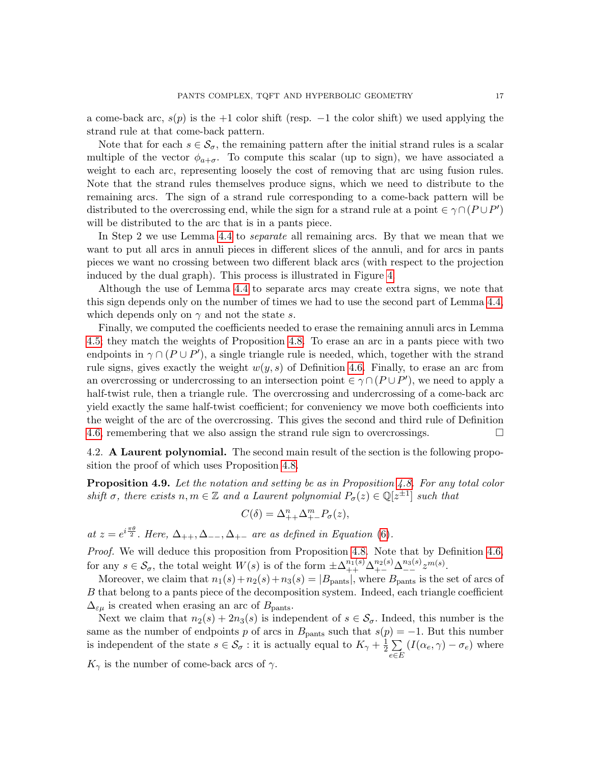a come-back arc,  $s(p)$  is the +1 color shift (resp.  $-1$  the color shift) we used applying the strand rule at that come-back pattern.

Note that for each  $s \in \mathcal{S}_{\sigma}$ , the remaining pattern after the initial strand rules is a scalar multiple of the vector  $\phi_{a+\sigma}$ . To compute this scalar (up to sign), we have associated a weight to each arc, representing loosely the cost of removing that arc using fusion rules. Note that the strand rules themselves produce signs, which we need to distribute to the remaining arcs. The sign of a strand rule corresponding to a come-back pattern will be distributed to the overcrossing end, while the sign for a strand rule at a point  $\in \gamma \cap (P \cup P')$ will be distributed to the arc that is in a pants piece.

In Step 2 we use Lemma [4.4](#page-14-2) to separate all remaining arcs. By that we mean that we want to put all arcs in annuli pieces in different slices of the annuli, and for arcs in pants pieces we want no crossing between two different black arcs (with respect to the projection induced by the dual graph). This process is illustrated in Figure [4.](#page-13-0)

Although the use of Lemma [4.4](#page-14-2) to separate arcs may create extra signs, we note that this sign depends only on the number of times we had to use the second part of Lemma [4.4,](#page-14-2) which depends only on  $\gamma$  and not the state s.

Finally, we computed the coefficients needed to erase the remaining annuli arcs in Lemma [4.5;](#page-14-0) they match the weights of Proposition [4.8.](#page-15-0) To erase an arc in a pants piece with two endpoints in  $\gamma \cap (P \cup P')$ , a single triangle rule is needed, which, together with the strand rule signs, gives exactly the weight  $w(y, s)$  of Definition [4.6.](#page-14-3) Finally, to erase an arc from an overcrossing or undercrossing to an intersection point  $\in \gamma \cap (P \cup P')$ , we need to apply a half-twist rule, then a triangle rule. The overcrossing and undercrossing of a come-back arc yield exactly the same half-twist coefficient; for conveniency we move both coefficients into the weight of the arc of the overcrossing. This gives the second and third rule of Definition [4.6,](#page-14-3) remembering that we also assign the strand rule sign to overcrossings.  $\Box$ 

4.2. A Laurent polynomial. The second main result of the section is the following proposition the proof of which uses Proposition [4.8.](#page-15-0)

<span id="page-16-0"></span>**Proposition 4.9.** Let the notation and setting be as in Proposition [4.8.](#page-15-0) For any total color shift  $\sigma$ , there exists  $n, m \in \mathbb{Z}$  and a Laurent polynomial  $P_{\sigma}(z) \in \mathbb{Q}[z^{\pm 1}]$  such that

$$
C(\delta) = \Delta_{++}^n \Delta_{+-}^m P_{\sigma}(z),
$$

at  $z = e^{i\frac{\pi\theta}{2}}$ . Here,  $\Delta_{++}, \Delta_{--}, \Delta_{+-}$  are as defined in Equation [\(6\)](#page-14-1).

Proof. We will deduce this proposition from Proposition [4.8.](#page-15-0) Note that by Definition [4.6,](#page-14-3) for any  $s \in \mathcal{S}_{\sigma}$ , the total weight  $W(s)$  is of the form  $\pm \Delta_{++}^{n_1(s)} \Delta_{+-}^{n_2(s)} \Delta_{--}^{n_3(s)} z^{m(s)}$ .

Moreover, we claim that  $n_1(s)+n_2(s)+n_3(s) = |B_{\text{pants}}|$ , where  $B_{\text{pants}}$  is the set of arcs of B that belong to a pants piece of the decomposition system. Indeed, each triangle coefficient  $\Delta_{\varepsilon\mu}$  is created when erasing an arc of  $B_{\text{pants}}$ .

Next we claim that  $n_2(s) + 2n_3(s)$  is independent of  $s \in \mathcal{S}_{\sigma}$ . Indeed, this number is the same as the number of endpoints p of arcs in  $B_{\text{pants}}$  such that  $s(p) = -1$ . But this number is independent of the state  $s \in \mathcal{S}_{\sigma}$ : it is actually equal to  $K_{\gamma} + \frac{1}{2}$  $\frac{1}{2}$   $\sum$ e∈E  $(I(\alpha_e, \gamma) - \sigma_e)$  where

 $K_{\gamma}$  is the number of come-back arcs of  $\gamma$ .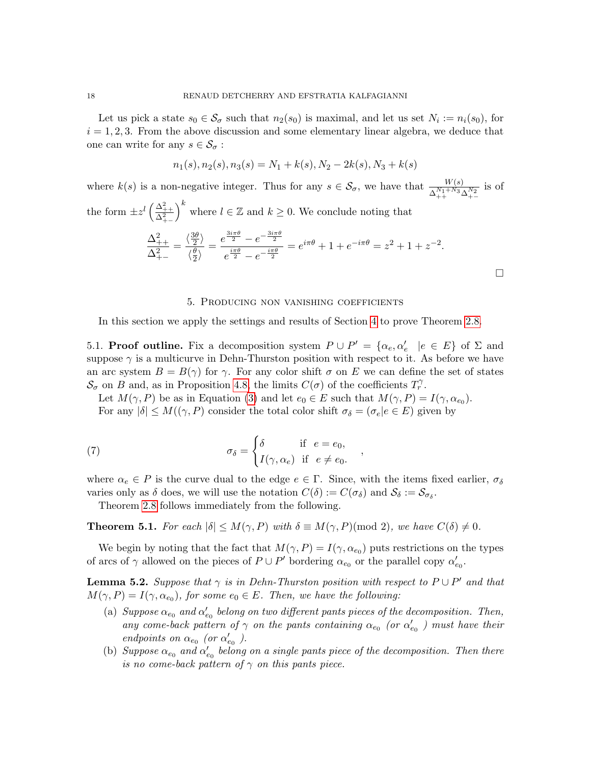Let us pick a state  $s_0 \in \mathcal{S}_{\sigma}$  such that  $n_2(s_0)$  is maximal, and let us set  $N_i := n_i(s_0)$ , for  $i = 1, 2, 3$ . From the above discussion and some elementary linear algebra, we deduce that one can write for any  $s \in \mathcal{S}_{\sigma}$ :

$$
n_1(s), n_2(s), n_3(s) = N_1 + k(s), N_2 - 2k(s), N_3 + k(s)
$$

where  $k(s)$  is a non-negative integer. Thus for any  $s \in \mathcal{S}_{\sigma}$ , we have that  $\frac{W(s)}{\Delta_{++}^{N_1+N_3}\Delta_{+-}^{N_2}}$  is of the form  $\pm z^l \left( \frac{\Delta_{++}^2}{\Delta_{+-}^2} \right)$  $k \n\begin{cases} k \text{ where } l \in \mathbb{Z} \text{ and } k \geq 0. \text{ We conclude noting that} \end{cases}$  $\Delta_{++}^2$  $\Delta_{+-}^2$ =  $\langle \frac{3\theta}{2}$  $\frac{3\theta}{2}\rangle$  $\langle \frac{\theta}{2}$  $\frac{\theta}{2}$  $=\frac{e^{\frac{3i\pi\theta}{2}}-e^{-\frac{3i\pi\theta}{2}}}{\frac{i\pi\theta}{2}}$  $e^{\frac{i\pi\theta}{2}}-e^{-\frac{i\pi\theta}{2}}$  $= e^{i\pi\theta} + 1 + e^{-i\pi\theta} = z^2 + 1 + z^{-2}.$  $\Box$ 

### 5. Producing non vanishing coefficients

<span id="page-17-0"></span>In this section we apply the settings and results of Section [4](#page-11-0) to prove Theorem [2.8.](#page-8-2)

5.1. **Proof outline.** Fix a decomposition system  $P \cup P' = {\alpha_e, \alpha'_e \mid e \in E}$  of  $\Sigma$  and suppose  $\gamma$  is a multicurve in Dehn-Thurston position with respect to it. As before we have an arc system  $B = B(\gamma)$  for  $\gamma$ . For any color shift  $\sigma$  on E we can define the set of states  $\mathcal{S}_{\sigma}$  on B and, as in Proposition [4.8,](#page-15-0) the limits  $C(\sigma)$  of the coefficients  $T_r^{\gamma}$ .

<span id="page-17-2"></span>Let  $M(\gamma, P)$  be as in Equation [\(3\)](#page-8-1) and let  $e_0 \in E$  such that  $M(\gamma, P) = I(\gamma, \alpha_{e_0})$ . For any  $|\delta| \leq M((\gamma, P)$  consider the total color shift  $\sigma_{\delta} = (\sigma_e | e \in E)$  given by

(7) 
$$
\sigma_{\delta} = \begin{cases} \delta & \text{if } e = e_0, \\ I(\gamma, \alpha_e) & \text{if } e \neq e_0. \end{cases}
$$

where  $\alpha_e \in P$  is the curve dual to the edge  $e \in \Gamma$ . Since, with the items fixed earlier,  $\sigma_{\delta}$ varies only as  $\delta$  does, we will use the notation  $C(\delta) := C(\sigma_{\delta})$  and  $S_{\delta} := S_{\sigma_{\delta}}$ .

Theorem [2.8](#page-8-2) follows immediately from the following.

<span id="page-17-1"></span>**Theorem 5.1.** For each  $|\delta| \leq M(\gamma, P)$  with  $\delta \equiv M(\gamma, P) \pmod{2}$ , we have  $C(\delta) \neq 0$ .

We begin by noting that the fact that  $M(\gamma, P) = I(\gamma, \alpha_{e_0})$  puts restrictions on the types of arcs of  $\gamma$  allowed on the pieces of  $P \cup P'$  bordering  $\alpha_{e_0}$  or the parallel copy  $\alpha'_{e_0}$ .

<span id="page-17-3"></span>**Lemma 5.2.** Suppose that  $\gamma$  is in Dehn-Thurston position with respect to  $P \cup P'$  and that  $M(\gamma, P) = I(\gamma, \alpha_{e_0}),$  for some  $e_0 \in E$ . Then, we have the following:

- (a) Suppose  $\alpha_{e_0}$  and  $\alpha_{e_0}'$  belong on two different pants pieces of the decomposition. Then, any come-back pattern of  $\gamma$  on the pants containing  $\alpha_{e_0}$  (or  $\alpha_{e_0}'$ ) must have their endpoints on  $\alpha_{e_0}$  (or  $\alpha_{e_0}'$ ).
- (b) Suppose  $\alpha_{e_0}$  and  $\alpha'_{e_0}$  belong on a single pants piece of the decomposition. Then there is no come-back pattern of  $\gamma$  on this pants piece.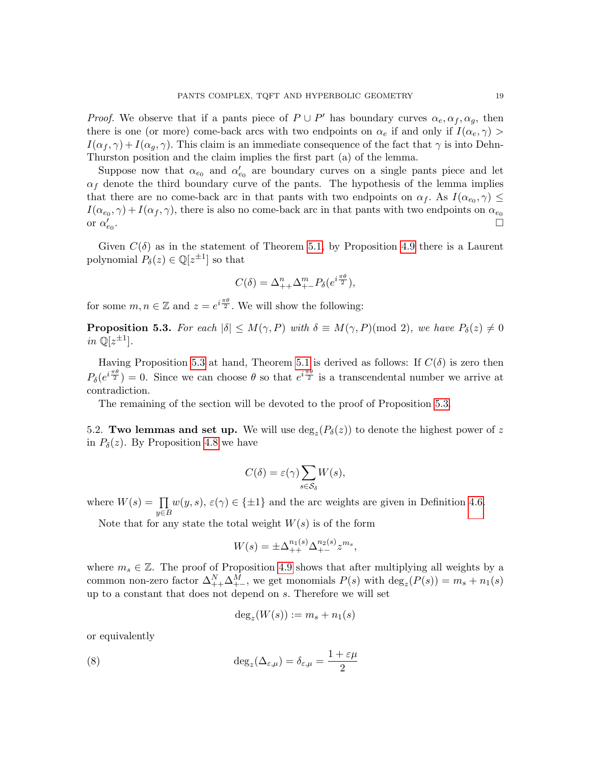*Proof.* We observe that if a pants piece of  $P \cup P'$  has boundary curves  $\alpha_e, \alpha_f, \alpha_g$ , then there is one (or more) come-back arcs with two endpoints on  $\alpha_e$  if and only if  $I(\alpha_e, \gamma)$  $I(\alpha_f, \gamma) + I(\alpha_q, \gamma)$ . This claim is an immediate consequence of the fact that  $\gamma$  is into Dehn-Thurston position and the claim implies the first part (a) of the lemma.

Suppose now that  $\alpha_{e_0}$  and  $\alpha'_{e_0}$  are boundary curves on a single pants piece and let  $\alpha_f$  denote the third boundary curve of the pants. The hypothesis of the lemma implies that there are no come-back arc in that pants with two endpoints on  $\alpha_f$ . As  $I(\alpha_{e_0}, \gamma) \leq$  $I(\alpha_{e_0}, \gamma) + I(\alpha_f, \gamma)$ , there is also no come-back arc in that pants with two endpoints on  $\alpha_{e_0}$ or  $\alpha_{e_0}$ .

Given  $C(\delta)$  as in the statement of Theorem [5.1,](#page-17-1) by Proposition [4.9](#page-16-0) there is a Laurent polynomial  $P_\delta(z) \in \mathbb{Q}[z^{\pm 1}]$  so that

$$
C(\delta) = \Delta_{++}^n \Delta_{+-}^m P_\delta(e^{i\frac{\pi\theta}{2}}),
$$

for some  $m, n \in \mathbb{Z}$  and  $z = e^{i \frac{\pi \theta}{2}}$ . We will show the following:

<span id="page-18-0"></span>**Proposition 5.3.** For each  $|\delta| \leq M(\gamma, P)$  with  $\delta \equiv M(\gamma, P) \pmod{2}$ , we have  $P_{\delta}(z) \neq 0$ in  $\mathbb{Q}[z^{\pm 1}].$ 

Having Proposition [5.3](#page-18-0) at hand, Theorem [5.1](#page-17-1) is derived as follows: If  $C(\delta)$  is zero then  $P_{\delta}(e^{i\frac{\pi\theta}{2}})=0$ . Since we can choose  $\theta$  so that  $e^{i\frac{\pi\theta}{2}}$  is a transcendental number we arrive at contradiction.

The remaining of the section will be devoted to the proof of Proposition [5.3.](#page-18-0)

5.2. Two lemmas and set up. We will use  $deg_z(P_\delta(z))$  to denote the highest power of z in  $P_{\delta}(z)$ . By Proposition [4.8](#page-15-0) we have

$$
C(\delta) = \varepsilon(\gamma) \sum_{s \in \mathcal{S}_{\delta}} W(s),
$$

where  $W(s) = \prod$  $y \in B$  $w(y, s), \varepsilon(\gamma) \in {\pm 1}$  and the arc weights are given in Definition [4.6.](#page-14-3)

Note that for any state the total weight  $W(s)$  is of the form

$$
W(s) = \pm \Delta_{++}^{n_1(s)} \Delta_{+-}^{n_2(s)} z^{m_s},
$$

where  $m_s \in \mathbb{Z}$ . The proof of Proposition [4.9](#page-16-0) shows that after multiplying all weights by a common non-zero factor  $\Delta_{++}^N \Delta_{+-}^M$ , we get monomials  $P(s)$  with  $\deg_z(P(s)) = m_s + n_1(s)$ up to a constant that does not depend on s. Therefore we will set

<span id="page-18-1"></span>
$$
\deg_z(W(s)) := m_s + n_1(s)
$$

or equivalently

(8) 
$$
\deg_z(\Delta_{\varepsilon,\mu}) = \delta_{\varepsilon,\mu} = \frac{1+\varepsilon\mu}{2}
$$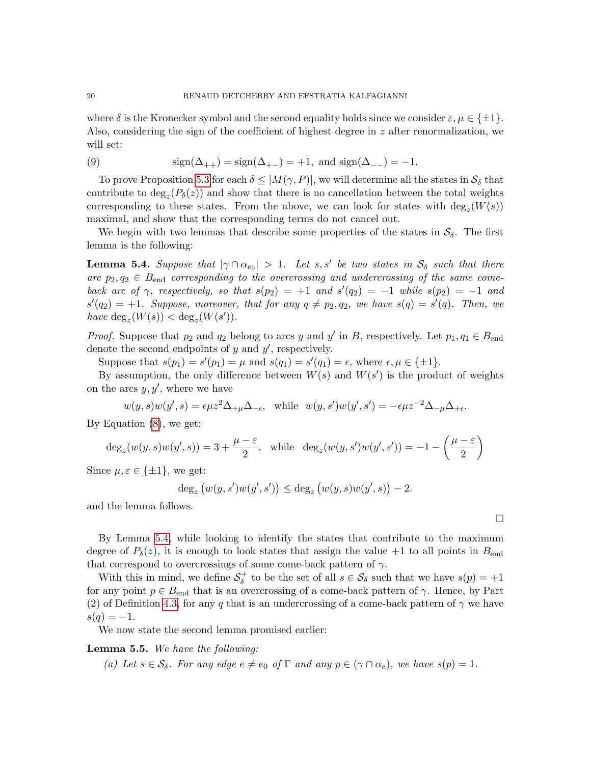where  $\delta$  is the Kronecker symbol and the second equality holds since we consider  $\varepsilon, \mu \in \{\pm 1\}.$ Also, considering the sign of the coefficient of highest degree in z after renormalization, we will set:

<span id="page-19-2"></span>(9) 
$$
\text{sign}(\Delta_{++}) = \text{sign}(\Delta_{+-}) = +1, \text{ and } \text{sign}(\Delta_{--}) = -1.
$$

To prove Proposition [5.3](#page-18-0) for each  $\delta \leq |M(\gamma, P)|$ , we will determine all the states in  $\mathcal{S}_{\delta}$  that contribute to  $deg_z(P_\delta(z))$  and show that there is no cancellation between the total weights corresponding to these states. From the above, we can look for states with  $\deg_z(W(s))$ maximal, and show that the corresponding terms do not cancel out.

We begin with two lemmas that describe some properties of the states in  $S_{\delta}$ . The first lemma is the following:

<span id="page-19-0"></span>**Lemma 5.4.** Suppose that  $|\gamma \cap \alpha_{e_0}| > 1$ . Let s, s' be two states in  $S_\delta$  such that there are  $p_2, q_2 \in B_{end}$  corresponding to the overcrossing and undercrossing of the same comeback arc of  $\gamma$ , respectively, so that  $s(p_2) = +1$  and  $s'(q_2) = -1$  while  $s(p_2) = -1$  and  $s'(q_2) = +1$ . Suppose, moreover, that for any  $q \neq p_2, q_2$ , we have  $s(q) = s'(q)$ . Then, we have  $\deg_z(W(s)) < \deg_z(W(s'))$ .

*Proof.* Suppose that  $p_2$  and  $q_2$  belong to arcs y and y' in B, respectively. Let  $p_1, q_1 \in B_{end}$ denote the second endpoints of  $y$  and  $y'$ , respectively.

Suppose that  $s(p_1) = s'(p_1) = \mu$  and  $s(q_1) = s'(q_1) = \epsilon$ , where  $\epsilon, \mu \in {\pm 1}$ .

By assumption, the only difference between  $W(s)$  and  $W(s')$  is the product of weights on the arcs  $y, y'$ , where we have

 $w(y, s)w(y', s) = \epsilon \mu z^2 \Delta_{+\mu} \Delta_{-\epsilon}$ , while  $w(y, s')w(y', s') = -\epsilon \mu z^{-2} \Delta_{-\mu} \Delta_{+\epsilon}$ .

By Equation [\(8\)](#page-18-1), we get:

 $\deg_z(w(y,s)w(y',s)) = 3 + \frac{\mu - \varepsilon}{2}, \text{ while } \deg_z(w(y,s')w(y',s')) = -1 - \left(\frac{\mu - \varepsilon}{2}\right)$ 2  $\setminus$ 

Since  $\mu, \varepsilon \in {\pm 1}$ , we get:

$$
\deg_z \big( w(y, s') w(y', s') \big) \leq \deg_z \big( w(y, s) w(y', s) \big) - 2.
$$

and the lemma follows.

By Lemma [5.4,](#page-19-0) while looking to identify the states that contribute to the maximum degree of  $P_{\delta}(z)$ , it is enough to look states that assign the value +1 to all points in  $B_{\text{end}}$ that correspond to overcrossings of some come-back pattern of  $\gamma$ .

With this in mind, we define  $S_{\delta}^+$ <sup>+</sup> to be the set of all  $s \in \mathcal{S}_{\delta}$  such that we have  $s(p) = +1$ for any point  $p \in B_{end}$  that is an overcrossing of a come-back pattern of  $\gamma$ . Hence, by Part (2) of Definition [4.3,](#page-13-1) for any q that is an undercrossing of a come-back pattern of  $\gamma$  we have  $s(q) = -1.$ 

We now state the second lemma promised earlier:

### <span id="page-19-1"></span>Lemma 5.5. We have the following:

(a) Let  $s \in \mathcal{S}_{\delta}$ . For any edge  $e \neq e_0$  of  $\Gamma$  and any  $p \in (\gamma \cap \alpha_e)$ , we have  $s(p) = 1$ .

 $\Box$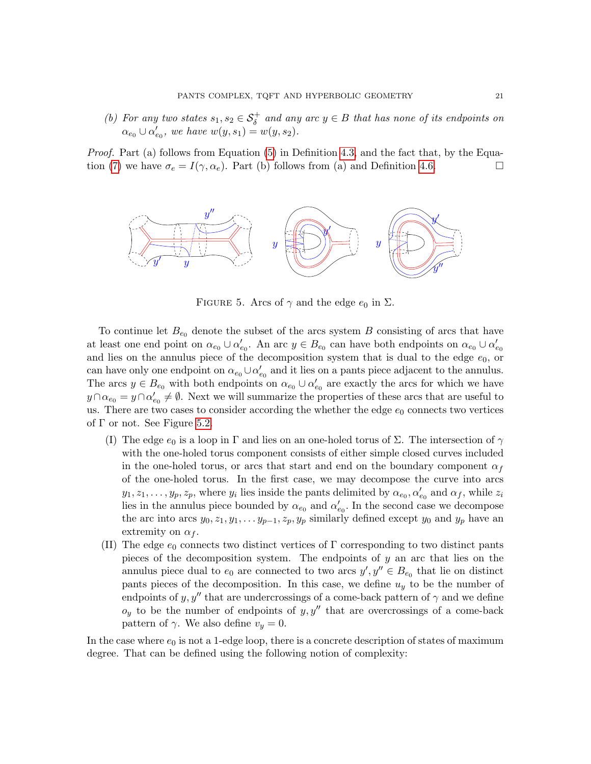(b) For any two states  $s_1, s_2 \in S^+_{\delta}$  and any arc  $y \in B$  that has none of its endpoints on  $\alpha_{e_0} \cup \alpha'_{e_0}, \text{ we have } w(y, s_1) = w(y, s_2).$ 

Proof. Part (a) follows from Equation [\(5\)](#page-13-2) in Definition [4.3,](#page-13-1) and the fact that, by the Equa-tion [\(7\)](#page-17-2) we have  $\sigma_e = I(\gamma, \alpha_e)$ . Part (b) follows from (a) and Definition [4.6.](#page-14-3)



FIGURE 5. Arcs of  $\gamma$  and the edge  $e_0$  in  $\Sigma$ .

To continue let  $B_{e_0}$  denote the subset of the arcs system B consisting of arcs that have at least one end point on  $\alpha_{e_0} \cup \alpha'_{e_0}$ . An arc  $y \in B_{e_0}$  can have both endpoints on  $\alpha_{e_0} \cup \alpha'_{e_0}$ and lies on the annulus piece of the decomposition system that is dual to the edge  $e_0$ , or can have only one endpoint on  $\alpha_{e_0} \cup \alpha'_{e_0}$  and it lies on a pants piece adjacent to the annulus. The arcs  $y \in B_{e_0}$  with both endpoints on  $\alpha_{e_0} \cup \alpha'_{e_0}$  are exactly the arcs for which we have  $y \cap \alpha_{e_0} = y \cap \alpha'_{e_0} \neq \emptyset$ . Next we will summarize the properties of these arcs that are useful to us. There are two cases to consider according the whether the edge  $e_0$  connects two vertices of  $\Gamma$  or not. See Figure [5.2.](#page-19-1)

- (I) The edge  $e_0$  is a loop in Γ and lies on an one-holed torus of Σ. The intersection of  $\gamma$ with the one-holed torus component consists of either simple closed curves included in the one-holed torus, or arcs that start and end on the boundary component  $\alpha_f$ of the one-holed torus. In the first case, we may decompose the curve into arcs  $y_1, z_1, \ldots, y_p, z_p$ , where  $y_i$  lies inside the pants delimited by  $\alpha_{e_0}, \alpha'_{e_0}$  and  $\alpha_f$ , while  $z_i$ lies in the annulus piece bounded by  $\alpha_{e_0}$  and  $\alpha'_{e_0}$ . In the second case we decompose the arc into arcs  $y_0, z_1, y_1, \ldots y_{p-1}, z_p, y_p$  similarly defined except  $y_0$  and  $y_p$  have an extremity on  $\alpha_f$ .
- (II) The edge  $e_0$  connects two distinct vertices of  $\Gamma$  corresponding to two distinct pants pieces of the decomposition system. The endpoints of  $y$  an arc that lies on the annulus piece dual to  $e_0$  are connected to two arcs  $y', y'' \in B_{e_0}$  that lie on distinct pants pieces of the decomposition. In this case, we define  $u<sub>y</sub>$  to be the number of endpoints of y, y'' that are undercrossings of a come-back pattern of  $\gamma$  and we define  $o_y$  to be the number of endpoints of y, y'' that are overcrossings of a come-back pattern of  $\gamma$ . We also define  $v_y = 0$ .

In the case where  $e_0$  is not a 1-edge loop, there is a concrete description of states of maximum degree. That can be defined using the following notion of complexity: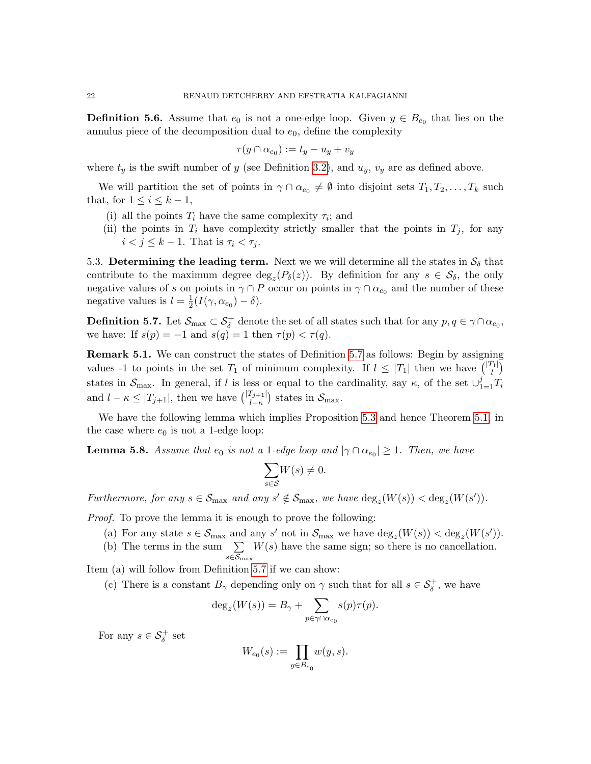<span id="page-21-1"></span>**Definition 5.6.** Assume that  $e_0$  is not a one-edge loop. Given  $y \in B_{e_0}$  that lies on the annulus piece of the decomposition dual to  $e_0$ , define the complexity

$$
\tau(y \cap \alpha_{e_0}) := t_y - u_y + v_y
$$

where  $t_y$  is the swift number of y (see Definition [3.2\)](#page-10-1), and  $u_y$ ,  $v_y$  are as defined above.

We will partition the set of points in  $\gamma \cap \alpha_{e_0} \neq \emptyset$  into disjoint sets  $T_1, T_2, \ldots, T_k$  such that, for  $1 \leq i \leq k-1$ ,

- (i) all the points  $T_i$  have the same complexity  $\tau_i$ ; and
- (ii) the points in  $T_i$  have complexity strictly smaller that the points in  $T_j$ , for any  $i < j \leq k - 1$ . That is  $\tau_i < \tau_j$ .

5.3. Determining the leading term. Next we we will determine all the states in  $S_{\delta}$  that contribute to the maximum degree  $\deg_z(P_\delta(z))$ . By definition for any  $s \in \mathcal{S}_\delta$ , the only negative values of s on points in  $\gamma \cap P$  occur on points in  $\gamma \cap \alpha_{e_0}$  and the number of these negative values is  $l=\frac{1}{2}$  $\frac{1}{2}(I(\gamma,\alpha_{e_0})-\delta).$ 

<span id="page-21-0"></span>**Definition 5.7.** Let  $\mathcal{S}_{\text{max}} \subset \mathcal{S}_{\delta}^+$  denote the set of all states such that for any  $p, q \in \gamma \cap \alpha_{e_0}$ , we have: If  $s(p) = -1$  and  $s(q) = 1$  then  $\tau(p) < \tau(q)$ .

Remark 5.1. We can construct the states of Definition [5.7](#page-21-0) as follows: Begin by assigning values -1 to points in the set  $T_1$  of minimum complexity. If  $l \leq |T_1|$  then we have  $\binom{|T_1|}{l}$  $\binom{1}{l}$ states in  $\mathcal{S}_{\text{max}}$ . In general, if l is less or equal to the cardinality, say  $\kappa$ , of the set  $\cup_{1=1}^{j} T_i$ and  $l - \kappa \leq |T_{j+1}|$ , then we have  $\binom{|T_{j+1}|}{l-\kappa}$  states in  $\mathcal{S}_{\text{max}}$ .

We have the following lemma which implies Proposition [5.3](#page-18-0) and hence Theorem [5.1,](#page-17-1) in the case where  $e_0$  is not a 1-edge loop:

<span id="page-21-2"></span>**Lemma 5.8.** Assume that  $e_0$  is not a 1-edge loop and  $|\gamma \cap \alpha_{e_0}| \geq 1$ . Then, we have

$$
\sum_{s \in \mathcal{S}} W(s) \neq 0.
$$

Furthermore, for any  $s \in S_{\text{max}}$  and any  $s' \notin S_{\text{max}}$ , we have  $\deg_z(W(s)) < \deg_z(W(s'))$ .

Proof. To prove the lemma it is enough to prove the following:

- (a) For any state  $s \in \mathcal{S}_{\text{max}}$  and any s' not in  $\mathcal{S}_{\text{max}}$  we have  $\deg_z(W(s)) < \deg_z(W(s'))$ .
- (b) The terms in the sum  $\sum$  $W(s)$  have the same sign; so there is no cancellation.

 $_{s \in \mathcal{S}_{\max}}$ Item (a) will follow from Definition [5.7](#page-21-0) if we can show:

(c) There is a constant  $B_{\gamma}$  depending only on  $\gamma$  such that for all  $s \in S_{\delta}^{+}$ , we have

$$
\deg_z(W(s)) = B_\gamma + \sum_{p \in \gamma \cap \alpha_{e_0}} s(p)\tau(p).
$$

For any  $s \in \mathcal{S}_\delta^+$  set

$$
W_{e_0}(s):=\prod_{y\in B_{e_0}}w(y,s).
$$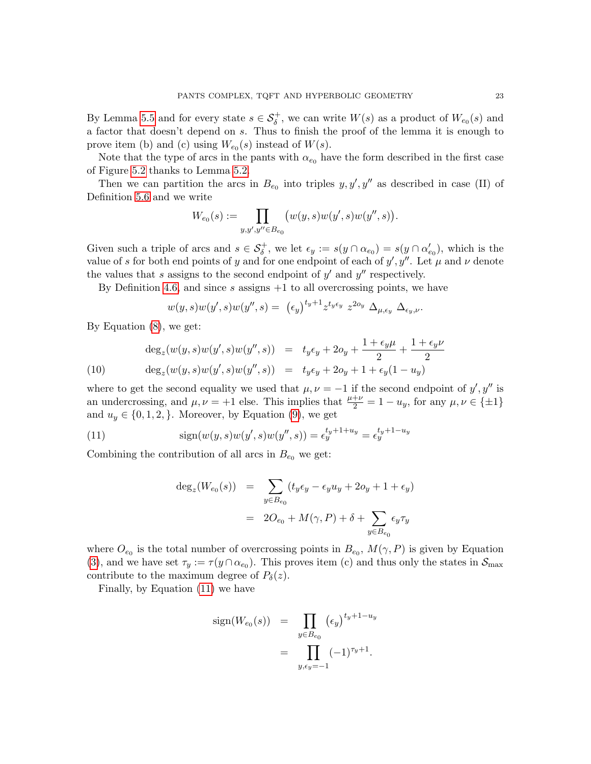By Lemma [5.5](#page-19-1) and for every state  $s \in \mathcal{S}_\delta^+$ , we can write  $W(s)$  as a product of  $W_{e_0}(s)$  and a factor that doesn't depend on s. Thus to finish the proof of the lemma it is enough to prove item (b) and (c) using  $W_{e_0}(s)$  instead of  $W(s)$ .

Note that the type of arcs in the pants with  $\alpha_{e_0}$  have the form described in the first case of Figure [5.2](#page-19-1) thanks to Lemma [5.2.](#page-17-3)

Then we can partition the arcs in  $B_{e_0}$  into triples  $y, y', y''$  as described in case (II) of Definition [5.6](#page-21-1) and we write

$$
W_{e_0}(s) := \prod_{y,y',y'' \in B_{e_0}} \big( w(y,s) w(y',s) w(y'',s) \big).
$$

Given such a triple of arcs and  $s \in S_\delta^+$ , we let  $\epsilon_y := s(y \cap \alpha_{e_0}) = s(y \cap \alpha'_{e_0})$ , which is the value of s for both end points of y and for one endpoint of each of  $y', y''$ . Let  $\mu$  and  $\nu$  denote the values that s assigns to the second endpoint of  $y'$  and  $y''$  respectively.

By Definition [4.6,](#page-14-3) and since s assigns  $+1$  to all overcrossing points, we have

$$
w(y,s)w(y',s)w(y'',s) = (\epsilon_y)^{t_y+1} z^{t_y \epsilon_y} z^{2\omega_y} \Delta_{\mu,\epsilon_y} \Delta_{\epsilon_y,\nu}.
$$

By Equation [\(8\)](#page-18-1), we get:

(10) 
$$
\deg_z(w(y, s)w(y', s)w(y'', s)) = t_y \epsilon_y + 2o_y + \frac{1 + \epsilon_y \mu}{2} + \frac{1 + \epsilon_y \nu}{2}
$$

$$
\deg_z(w(y, s)w(y', s)w(y'', s)) = t_y \epsilon_y + 2o_y + 1 + \epsilon_y (1 - u_y)
$$

where to get the second equality we used that  $\mu, \nu = -1$  if the second endpoint of  $y', y''$  is an undercrossing, and  $\mu, \nu = +1$  else. This implies that  $\frac{\mu + \nu}{2} = 1 - u_y$ , for any  $\mu, \nu \in {\pm 1}$ and  $u_y \in \{0, 1, 2, \}$ . Moreover, by Equation [\(9\)](#page-19-2), we get

(11) 
$$
\text{sign}(w(y, s)w(y', s)w(y'', s)) = \epsilon_y^{t_y + 1 + u_y} = \epsilon_y^{t_y + 1 - u_y}
$$

Combining the contribution of all arcs in  $B_{e_0}$  we get:

<span id="page-22-0"></span>
$$
deg_z(W_{e_0}(s)) = \sum_{y \in B_{e_0}} (t_y \epsilon_y - \epsilon_y u_y + 2o_y + 1 + \epsilon_y)
$$
  
= 
$$
2O_{e_0} + M(\gamma, P) + \delta + \sum_{y \in B_{e_0}} \epsilon_y \tau_y
$$

where  $O_{e_0}$  is the total number of overcrossing points in  $B_{e_0}$ ,  $M(\gamma, P)$  is given by Equation [\(3\)](#page-8-1), and we have set  $\tau_y := \tau(y \cap \alpha_{e_0})$ . This proves item (c) and thus only the states in  $\mathcal{S}_{\text{max}}$ contribute to the maximum degree of  $P_\delta(z)$ .

Finally, by Equation [\(11\)](#page-22-0) we have

sign
$$
(W_{e_0}(s))
$$
 =  $\prod_{y \in B_{e_0}} (e_y)^{t_y+1-u_y}$   
 =  $\prod_{y,e_y=-1} (-1)^{\tau_y+1}$ .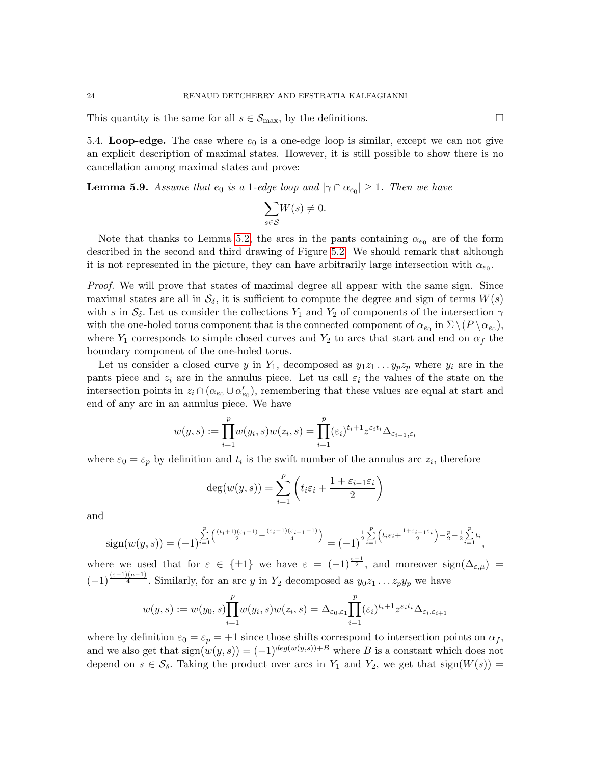This quantity is the same for all  $s \in S_{\text{max}}$ , by the definitions.

5.4. Loop-edge. The case where  $e_0$  is a one-edge loop is similar, except we can not give an explicit description of maximal states. However, it is still possible to show there is no cancellation among maximal states and prove:

**Lemma 5.9.** Assume that  $e_0$  is a 1-edge loop and  $|\gamma \cap \alpha_{e_0}| \geq 1$ . Then we have

$$
\underset{s\in\mathcal{S}}{\sum}W(s)\neq 0.
$$

Note that thanks to Lemma [5.2,](#page-17-3) the arcs in the pants containing  $\alpha_{e_0}$  are of the form described in the second and third drawing of Figure [5.2.](#page-19-1) We should remark that although it is not represented in the picture, they can have arbitrarily large intersection with  $\alpha_{e_0}$ .

*Proof.* We will prove that states of maximal degree all appear with the same sign. Since maximal states are all in  $S_{\delta}$ , it is sufficient to compute the degree and sign of terms  $W(s)$ with s in  $S_\delta$ . Let us consider the collections  $Y_1$  and  $Y_2$  of components of the intersection  $\gamma$ with the one-holed torus component that is the connected component of  $\alpha_{e_0}$  in  $\Sigma \setminus (P \setminus \alpha_{e_0}),$ where  $Y_1$  corresponds to simple closed curves and  $Y_2$  to arcs that start and end on  $\alpha_f$  the boundary component of the one-holed torus.

Let us consider a closed curve y in Y<sub>1</sub>, decomposed as  $y_1z_1 \tldots y_pz_p$  where  $y_i$  are in the pants piece and  $z_i$  are in the annulus piece. Let us call  $\varepsilon_i$  the values of the state on the intersection points in  $z_i \cap (\alpha_{e_0} \cup \alpha'_{e_0})$ , remembering that these values are equal at start and end of any arc in an annulus piece. We have

$$
w(y,s) := \prod_{i=1}^{p} w(y_i, s) w(z_i, s) = \prod_{i=1}^{p} (\varepsilon_i)^{t_i+1} z^{\varepsilon_i t_i} \Delta_{\varepsilon_{i-1}, \varepsilon_i}
$$

where  $\varepsilon_0 = \varepsilon_p$  by definition and  $t_i$  is the swift number of the annulus arc  $z_i$ , therefore

$$
deg(w(y, s)) = \sum_{i=1}^{p} \left( t_i \varepsilon_i + \frac{1 + \varepsilon_{i-1} \varepsilon_i}{2} \right)
$$

and

$$
\text{sign}(w(y,s)) = (-1)^{\sum_{i=1}^p \left(\frac{(t_i+1)(\varepsilon_i-1)}{2} + \frac{(\varepsilon_i-1)(\varepsilon_{i-1}-1)}{4}\right)} = (-1)^{\frac{1}{2}\sum_{i=1}^p \left(t_i\varepsilon_i + \frac{1+\varepsilon_{i-1}\varepsilon_i}{2}\right) - \frac{p}{2} - \frac{1}{2}\sum_{i=1}^p t_i},
$$

where we used that for  $\varepsilon \in {\pm 1}$  we have  $\varepsilon = (-1)^{\frac{\varepsilon - 1}{2}}$ , and moreover  $sign(\Delta_{\varepsilon,\mu})$  $(-1)^{\frac{(\varepsilon-1)(\mu-1)}{4}}$ . Similarly, for an arc y in Y<sub>2</sub> decomposed as  $y_0z_1 \ldots z_py_p$  we have

$$
w(y,s) := w(y_0,s) \prod_{i=1}^p w(y_i,s) w(z_i,s) = \Delta_{\varepsilon_0,\varepsilon_1} \prod_{i=1}^p (\varepsilon_i)^{t_i+1} z^{\varepsilon_i t_i} \Delta_{\varepsilon_i,\varepsilon_{i+1}}
$$

where by definition  $\varepsilon_0 = \varepsilon_p = +1$  since those shifts correspond to intersection points on  $\alpha_f$ , and we also get that  $sign(w(y, s)) = (-1)^{deg(w(y, s)) + B}$  where B is a constant which does not depend on  $s \in \mathcal{S}_{\delta}$ . Taking the product over arcs in  $Y_1$  and  $Y_2$ , we get that sign $(W(s))$  =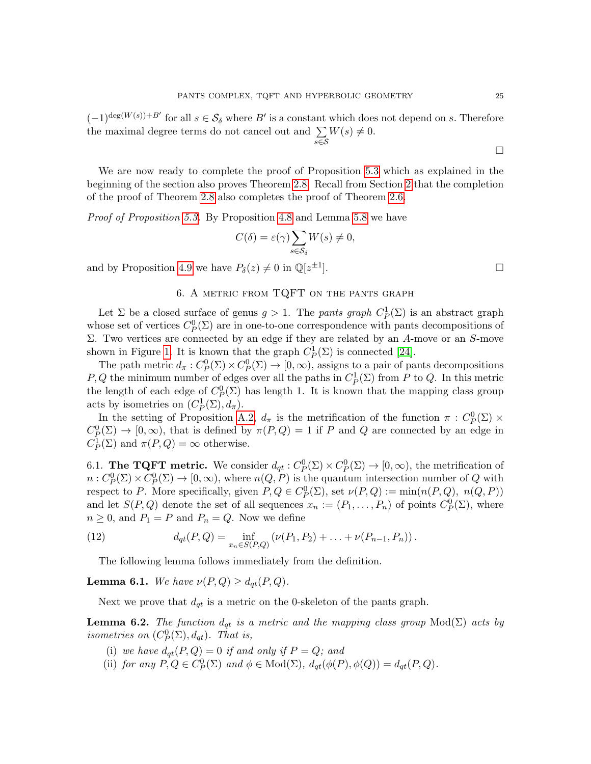$(-1)^{\deg(W(s))+B'}$  for all  $s \in \mathcal{S}_{\delta}$  where  $B'$  is a constant which does not depend on s. Therefore the maximal degree terms do not cancel out and  $\Sigma$ s∈S  $W(s) \neq 0.$ 

We are now ready to complete the proof of Proposition [5.3](#page-18-0) which as explained in the beginning of the section also proves Theorem [2.8.](#page-8-2) Recall from Section [2](#page-4-0) that the completion of the proof of Theorem [2.8](#page-8-2) also completes the proof of Theorem [2.6.](#page-7-0)

Proof of Proposition [5.3.](#page-18-0) By Proposition [4.8](#page-15-0) and Lemma [5.8](#page-21-2) we have

$$
C(\delta) = \varepsilon(\gamma) \sum_{s \in \mathcal{S}_{\delta}} W(s) \neq 0,
$$

and by Proposition [4.9](#page-16-0) we have  $P_{\delta}(z) \neq 0$  in  $\mathbb{Q}[z^{\pm 1}]$ 

# 6. A metric from TQFT on the pants graph

<span id="page-24-1"></span>Let  $\Sigma$  be a closed surface of genus  $g > 1$ . The *pants graph*  $C_P^1(\Sigma)$  is an abstract graph whose set of vertices  $C_p^0(\Sigma)$  are in one-to-one correspondence with pants decompositions of Σ. Two vertices are connected by an edge if they are related by an A-move or an S-move shown in Figure [1.](#page-9-0) It is known that the graph  $C_P^1(\Sigma)$  is connected [\[24\]](#page-37-0).

The path metric  $d_{\pi}: C^0_P(\Sigma) \times C^0_P(\Sigma) \to [0, \infty)$ , assigns to a pair of pants decompositions P, Q the minimum number of edges over all the paths in  $C_P^1(\Sigma)$  from P to Q. In this metric the length of each edge of  $C_P^0(\Sigma)$  has length 1. It is known that the mapping class group acts by isometries on  $(C_P^1(\Sigma), d_\pi)$ .

In the setting of Proposition [A.2,](#page-33-1)  $d_{\pi}$  is the metrification of the function  $\pi$ :  $C_P^0(\Sigma) \times$  $C_P^0(\Sigma) \to [0,\infty)$ , that is defined by  $\pi(P,Q) = 1$  if P and Q are connected by an edge in  $C_P^1(\Sigma)$  and  $\pi(P,Q) = \infty$  otherwise.

6.1. The TQFT metric. We consider  $d_{qt}: C^0_P(\Sigma) \times C^0_P(\Sigma) \to [0, \infty)$ , the metrification of  $n: C^0_P(\Sigma) \times C^0_P(\Sigma) \to [0, \infty)$ , where  $n(Q, P)$  is the quantum intersection number of Q with respect to P. More specifically, given  $P, Q \in C^0_P(\Sigma)$ , set  $\nu(P, Q) := \min(n(P, Q), n(Q, P))$ and let  $S(P,Q)$  denote the set of all sequences  $x_n := (P_1, \ldots, P_n)$  of points  $C_P^0(\Sigma)$ , where  $n \geq 0$ , and  $P_1 = P$  and  $P_n = Q$ . Now we define

(12) 
$$
d_{qt}(P,Q) = \inf_{x_n \in S(P,Q)} \left( \nu(P_1, P_2) + \ldots + \nu(P_{n-1}, P_n) \right).
$$

The following lemma follows immediately from the definition.

<span id="page-24-0"></span>**Lemma 6.1.** We have  $\nu(P,Q) \geq d_{qt}(P,Q)$ .

Next we prove that  $d_{qt}$  is a metric on the 0-skeleton of the pants graph.

**Lemma 6.2.** The function  $d_{qt}$  is a metric and the mapping class group  $Mod(\Sigma)$  acts by isometries on  $(C_P^0(\Sigma), d_{qt})$ . That is,

- (i) we have  $d_{qt}(P,Q) = 0$  if and only if  $P = Q$ ; and
- (ii) for any  $P, Q \in C^0_P(\Sigma)$  and  $\phi \in Mod(\Sigma)$ ,  $d_{qt}(\phi(P), \phi(Q)) = d_{qt}(P, Q)$ .

 $\Box$ 

].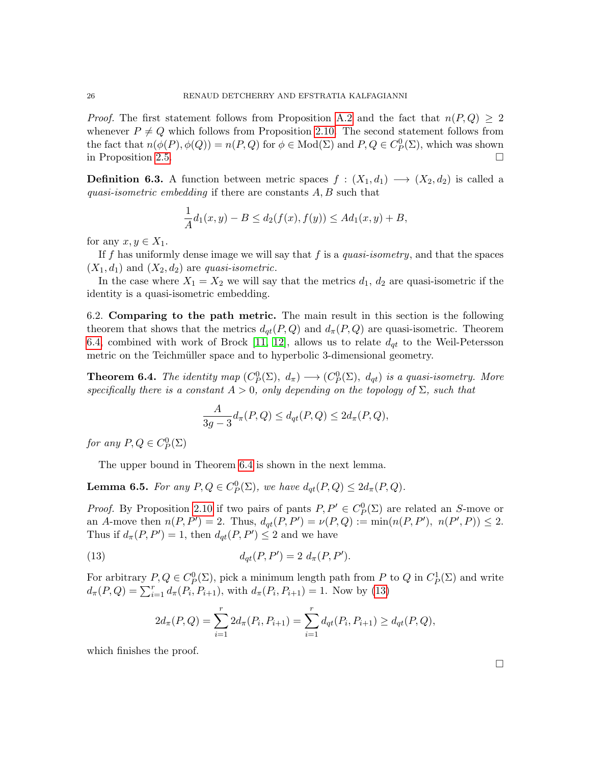*Proof.* The first statement follows from Proposition [A.2](#page-33-1) and the fact that  $n(P,Q) \geq 2$ whenever  $P \neq Q$  which follows from Proposition [2.10.](#page-9-2) The second statement follows from the fact that  $n(\phi(P), \phi(Q)) = n(P, Q)$  for  $\phi \in Mod(\Sigma)$  and  $P, Q \in C_p^0(\Sigma)$ , which was shown in Proposition [2.5.](#page-7-2)

**Definition 6.3.** A function between metric spaces  $f : (X_1, d_1) \longrightarrow (X_2, d_2)$  is called a quasi-isometric embedding if there are constants A, B such that

$$
\frac{1}{A}d_1(x,y) - B \le d_2(f(x), f(y)) \le Ad_1(x,y) + B,
$$

for any  $x, y \in X_1$ .

If f has uniformly dense image we will say that f is a quasi-isometry, and that the spaces  $(X_1, d_1)$  and  $(X_2, d_2)$  are *quasi-isometric*.

In the case where  $X_1 = X_2$  we will say that the metrics  $d_1, d_2$  are quasi-isometric if the identity is a quasi-isometric embedding.

6.2. Comparing to the path metric. The main result in this section is the following theorem that shows that the metrics  $d_{qt}(P,Q)$  and  $d_{\pi}(P,Q)$  are quasi-isometric. Theorem [6.4,](#page-25-0) combined with work of Brock [\[11,](#page-36-1) [12\]](#page-36-3), allows us to relate  $d_{qt}$  to the Weil-Petersson metric on the Teichmüller space and to hyperbolic 3-dimensional geometry.

<span id="page-25-0"></span>**Theorem 6.4.** The identity map  $(C_P^0(\Sigma), d_\pi) \longrightarrow (C_P^0(\Sigma), d_{qt})$  is a quasi-isometry. More specifically there is a constant  $A > 0$ , only depending on the topology of  $\Sigma$ , such that

$$
\frac{A}{3g-3}d_{\pi}(P,Q) \leq d_{qt}(P,Q) \leq 2d_{\pi}(P,Q),
$$

for any  $P,Q \in C_P^0(\Sigma)$ 

The upper bound in Theorem [6.4](#page-25-0) is shown in the next lemma.

<span id="page-25-2"></span>**Lemma 6.5.** For any  $P, Q \in C_p^0(\Sigma)$ , we have  $d_{qt}(P, Q) \leq 2d_{\pi}(P, Q)$ .

*Proof.* By Proposition [2.10](#page-9-2) if two pairs of pants  $P, P' \in C_p^0(\Sigma)$  are related an S-move or an A-move then  $n(P, P') = 2$ . Thus,  $d_{qt}(P, P') = \nu(P, Q) := \min(n(P, P'), n(P', P)) \le 2$ . Thus if  $d_{\pi}(P, P') = 1$ , then  $d_{qt}(P, P') \leq 2$  and we have

(13) 
$$
d_{qt}(P, P') = 2 d_{\pi}(P, P').
$$

For arbitrary  $P, Q \in C^0_P(\Sigma)$ , pick a minimum length path from P to Q in  $C^1_P(\Sigma)$  and write  $d_{\pi}(P,Q) = \sum_{i=1}^{r} d_{\pi}(P_i, P_{i+1}),$  with  $d_{\pi}(P_i, P_{i+1}) = 1$ . Now by [\(13\)](#page-25-1)

<span id="page-25-1"></span>
$$
2d_{\pi}(P,Q) = \sum_{i=1}^{r} 2d_{\pi}(P_i, P_{i+1}) = \sum_{i=1}^{r} d_{qt}(P_i, P_{i+1}) \ge d_{qt}(P,Q),
$$

which finishes the proof.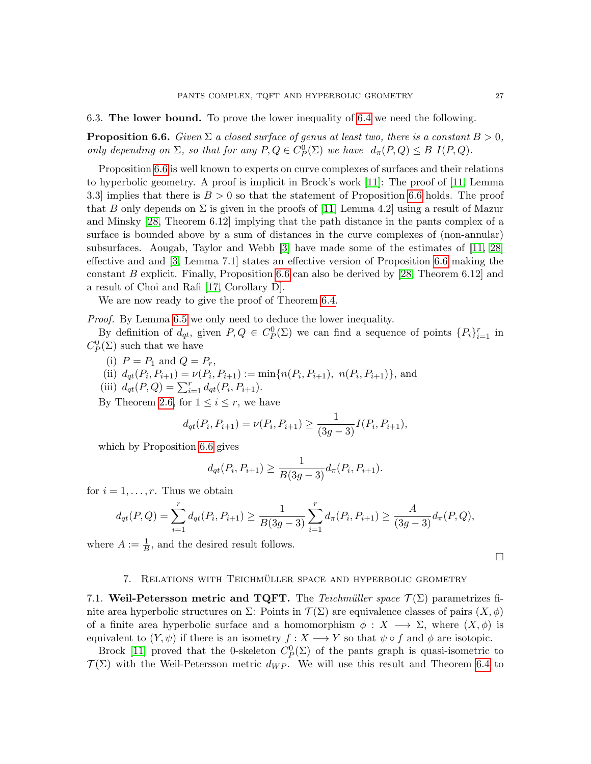6.3. The lower bound. To prove the lower inequality of [6.4](#page-25-0) we need the following.

<span id="page-26-1"></span>**Proposition 6.6.** Given  $\Sigma$  a closed surface of genus at least two, there is a constant  $B > 0$ , only depending on  $\Sigma$ , so that for any  $P, Q \in C^0_P(\Sigma)$  we have  $d_{\pi}(P, Q) \leq B I(P, Q)$ .

Proposition [6.6](#page-26-1) is well known to experts on curve complexes of surfaces and their relations to hyperbolic geometry. A proof is implicit in Brock's work [\[11\]](#page-36-1): The proof of [\[11,](#page-36-1) Lemma 3.3] implies that there is  $B > 0$  so that the statement of Proposition [6.6](#page-26-1) holds. The proof that B only depends on  $\Sigma$  is given in the proofs of [\[11,](#page-36-1) Lemma 4.2] using a result of Mazur and Minsky [\[28,](#page-37-14) Theorem 6.12] implying that the path distance in the pants complex of a surface is bounded above by a sum of distances in the curve complexes of (non-annular) subsurfaces. Aougab, Taylor and Webb [\[3\]](#page-36-16) have made some of the estimates of [\[11,](#page-36-1) [28\]](#page-37-14) effective and and [\[3,](#page-36-16) Lemma 7.1] states an effective version of Proposition [6.6](#page-26-1) making the constant B explicit. Finally, Proposition [6.6](#page-26-1) can also be derived by [\[28,](#page-37-14) Theorem 6.12] and a result of Choi and Rafi [\[17,](#page-36-17) Corollary D].

We are now ready to give the proof of Theorem [6.4.](#page-25-0)

Proof. By Lemma [6.5](#page-25-2) we only need to deduce the lower inequality.

By definition of  $d_{qt}$ , given  $P,Q \in C_P^0(\Sigma)$  we can find a sequence of points  $\{P_i\}_{i=1}^r$  in  $C_P^0(\Sigma)$  such that we have

- (i)  $P = P_1$  and  $Q = P_r$ ,
- (ii)  $d_{qt}(P_i, P_{i+1}) = \nu(P_i, P_{i+1}) := \min\{n(P_i, P_{i+1}), n(P_i, P_{i+1})\},$  and
- (iii)  $d_{qt}(P,Q) = \sum_{i=1}^{r} d_{qt}(P_i, P_{i+1}).$

By Theorem [2.6,](#page-7-0) for  $1 \leq i \leq r$ , we have

$$
d_{qt}(P_i, P_{i+1}) = \nu(P_i, P_{i+1}) \ge \frac{1}{(3g-3)}I(P_i, P_{i+1}),
$$

which by Proposition [6.6](#page-26-1) gives

$$
d_{qt}(P_i, P_{i+1}) \ge \frac{1}{B(3g-3)} d_{\pi}(P_i, P_{i+1}).
$$

for  $i = 1, \ldots, r$ . Thus we obtain

$$
d_{qt}(P,Q) = \sum_{i=1}^r d_{qt}(P_i, P_{i+1}) \ge \frac{1}{B(3g-3)} \sum_{i=1}^r d_{\pi}(P_i, P_{i+1}) \ge \frac{A}{(3g-3)} d_{\pi}(P,Q),
$$

where  $A := \frac{1}{B}$ , and the desired result follows.

 $\Box$ 

### 7. RELATIONS WITH TEICHMÜLLER SPACE AND HYPERBOLIC GEOMETRY

<span id="page-26-0"></span>7.1. Weil-Petersson metric and TQFT. The Teichmüller space  $\mathcal{T}(\Sigma)$  parametrizes finite area hyperbolic structures on  $\Sigma$ : Points in  $\mathcal{T}(\Sigma)$  are equivalence classes of pairs  $(X,\phi)$ of a finite area hyperbolic surface and a homomorphism  $\phi: X \longrightarrow \Sigma$ , where  $(X, \phi)$  is equivalent to  $(Y, \psi)$  if there is an isometry  $f : X \longrightarrow Y$  so that  $\psi \circ f$  and  $\phi$  are isotopic.

Brock [\[11\]](#page-36-1) proved that the 0-skeleton  $C_P^0(\Sigma)$  of the pants graph is quasi-isometric to  $\mathcal{T}(\Sigma)$  with the Weil-Petersson metric  $d_{WP}$ . We will use this result and Theorem [6.4](#page-25-0) to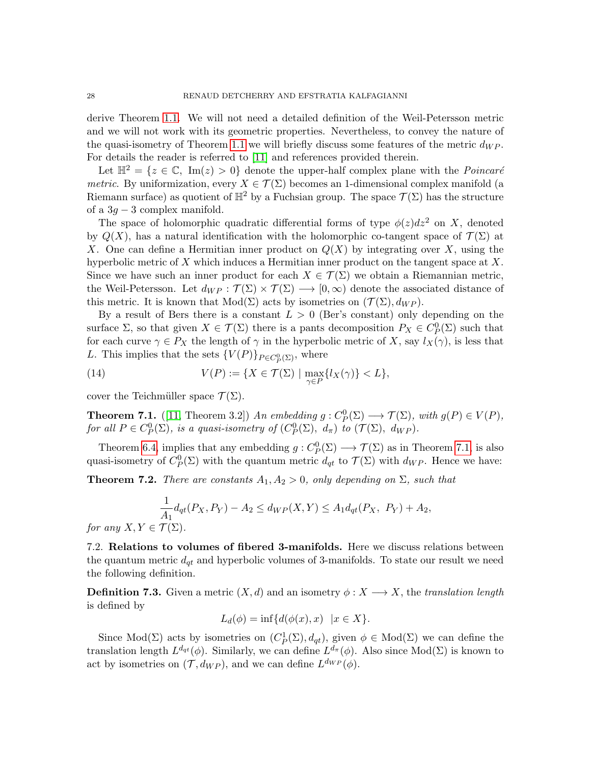derive Theorem [1.1.](#page-1-0) We will not need a detailed definition of the Weil-Petersson metric and we will not work with its geometric properties. Nevertheless, to convey the nature of the quasi-isometry of Theorem [1.1](#page-1-0) we will briefly discuss some features of the metric  $d_{WP}$ . For details the reader is referred to [\[11\]](#page-36-1) and references provided therein.

Let  $\mathbb{H}^2 = \{z \in \mathbb{C}, \text{ Im}(z) > 0\}$  denote the upper-half complex plane with the *Poincaré* metric. By uniformization, every  $X \in \mathcal{T}(\Sigma)$  becomes an 1-dimensional complex manifold (a Riemann surface) as quotient of  $\mathbb{H}^2$  by a Fuchsian group. The space  $\mathcal{T}(\Sigma)$  has the structure of a  $3g - 3$  complex manifold.

The space of holomorphic quadratic differential forms of type  $\phi(z)dz^2$  on X, denoted by  $Q(X)$ , has a natural identification with the holomorphic co-tangent space of  $\mathcal{T}(\Sigma)$  at X. One can define a Hermitian inner product on  $Q(X)$  by integrating over X, using the hyperbolic metric of  $X$  which induces a Hermitian inner product on the tangent space at  $X$ . Since we have such an inner product for each  $X \in \mathcal{T}(\Sigma)$  we obtain a Riemannian metric, the Weil-Petersson. Let  $d_{WP}: \mathcal{T}(\Sigma) \times \mathcal{T}(\Sigma) \longrightarrow [0,\infty)$  denote the associated distance of this metric. It is known that  $Mod(\Sigma)$  acts by isometries on  $(\mathcal{T}(\Sigma), d_{WP})$ .

By a result of Bers there is a constant  $L > 0$  (Ber's constant) only depending on the surface  $\Sigma$ , so that given  $X \in \mathcal{T}(\Sigma)$  there is a pants decomposition  $P_X \in C^0_P(\Sigma)$  such that for each curve  $\gamma \in P_X$  the length of  $\gamma$  in the hyperbolic metric of X, say  $l_X(\gamma)$ , is less that L. This implies that the sets  ${V(P)}_{P \in C_P^0(\Sigma)}$ , where

(14) 
$$
V(P) := \{ X \in \mathcal{T}(\Sigma) \mid \max_{\gamma \in P} \{ l_X(\gamma) \} < L \},
$$

cover the Teichmüller space  $\mathcal{T}(\Sigma)$ .

<span id="page-27-0"></span>**Theorem 7.1.** ([\[11,](#page-36-1) Theorem 3.2]) An embedding  $g: C^0_P(\Sigma) \longrightarrow \mathcal{T}(\Sigma)$ , with  $g(P) \in V(P)$ , for all  $P \in C^0_P(\Sigma)$ , is a quasi-isometry of  $(C^0_P(\Sigma), d_\pi)$  to  $(\mathcal{T}(\Sigma), d_{WP})$ .

Theorem [6.4,](#page-25-0) implies that any embedding  $g: C_p^0(\Sigma) \longrightarrow \mathcal{T}(\Sigma)$  as in Theorem [7.1,](#page-27-0) is also quasi-isometry of  $C_P^0(\Sigma)$  with the quantum metric  $d_{qt}$  to  $\mathcal{T}(\Sigma)$  with  $d_{WP}$ . Hence we have:

<span id="page-27-1"></span>**Theorem 7.2.** There are constants  $A_1, A_2 > 0$ , only depending on  $\Sigma$ , such that

$$
\frac{1}{A_1}d_{qt}(P_X, P_Y) - A_2 \le d_{WP}(X, Y) \le A_1d_{qt}(P_X, P_Y) + A_2,
$$
  
for any  $X, Y \in \mathcal{T}(\Sigma)$ .

7.2. Relations to volumes of fibered 3-manifolds. Here we discuss relations between the quantum metric  $d_{qt}$  and hyperbolic volumes of 3-manifolds. To state our result we need the following definition.

<span id="page-27-2"></span>**Definition 7.3.** Given a metric  $(X, d)$  and an isometry  $\phi: X \longrightarrow X$ , the translation length is defined by

$$
L_d(\phi) = \inf \{ d(\phi(x), x) \mid x \in X \}.
$$

Since Mod( $\Sigma$ ) acts by isometries on  $(C_P^1(\Sigma), d_{qt})$ , given  $\phi \in Mod(\Sigma)$  we can define the translation length  $L^{d_{qt}}(\phi)$ . Similarly, we can define  $L^{d_{\pi}}(\phi)$ . Also since  $Mod(\Sigma)$  is known to act by isometries on  $(\mathcal{T}, d_{WP})$ , and we can define  $L^{d_{WP}}(\phi)$ .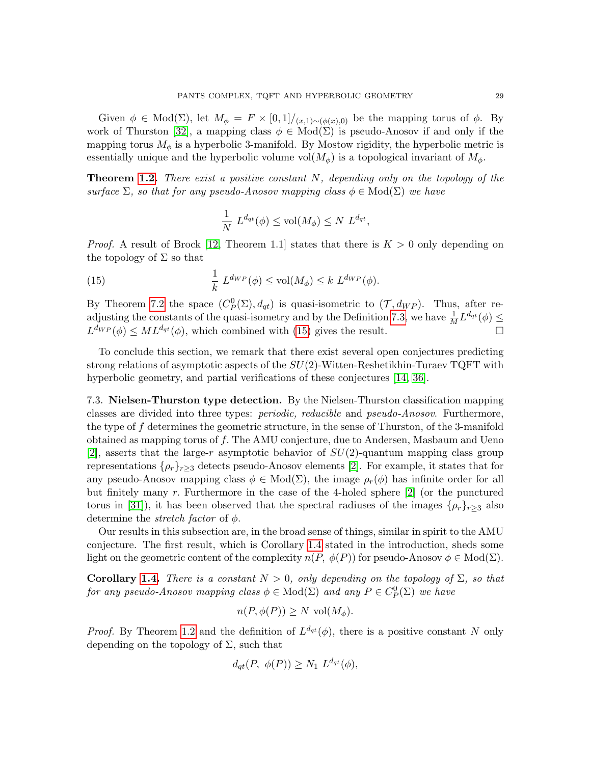Given  $\phi \in Mod(\Sigma)$ , let  $M_{\phi} = F \times [0,1] / (x,1) \sim (\phi(x),0)$  be the mapping torus of  $\phi$ . By work of Thurston [\[32\]](#page-37-15), a mapping class  $\phi \in Mod(\Sigma)$  is pseudo-Anosov if and only if the mapping torus  $M_{\phi}$  is a hyperbolic 3-manifold. By Mostow rigidity, the hyperbolic metric is essentially unique and the hyperbolic volume vol $(M_{\phi})$  is a topological invariant of  $M_{\phi}$ .

**Theorem [1.2.](#page-2-1)** There exist a positive constant  $N$ , depending only on the topology of the surface  $\Sigma$ , so that for any pseudo-Anosov mapping class  $\phi \in Mod(\Sigma)$  we have

<span id="page-28-0"></span>
$$
\frac{1}{N} L^{d_{qt}}(\phi) \le \text{vol}(M_{\phi}) \le N L^{d_{qt}},
$$

*Proof.* A result of Brock [\[12,](#page-36-3) Theorem 1.1] states that there is  $K > 0$  only depending on the topology of  $\Sigma$  so that

(15) 
$$
\frac{1}{k} L^{d_{WP}}(\phi) \leq \text{vol}(M_{\phi}) \leq k L^{d_{WP}}(\phi).
$$

By Theorem [7.2](#page-27-1) the space  $(C_P^0(\Sigma), d_{qt})$  is quasi-isometric to  $(\mathcal{T}, d_{WP})$ . Thus, after re-adjusting the constants of the quasi-isometry and by the Definition [7.3,](#page-27-2) we have  $\frac{1}{M}L^{d_{qt}}(\phi) \leq$  $L^{d_{WP}}(\phi) \leq ML^{d_{qt}}(\phi)$ , which combined with [\(15\)](#page-28-0) gives the result.

To conclude this section, we remark that there exist several open conjectures predicting strong relations of asymptotic aspects of the  $SU(2)$ -Witten-Reshetikhin-Turaev TQFT with hyperbolic geometry, and partial verifications of these conjectures [\[14,](#page-36-4) [36\]](#page-37-2).

7.3. Nielsen-Thurston type detection. By the Nielsen-Thurston classification mapping classes are divided into three types: periodic, reducible and pseudo-Anosov. Furthermore, the type of f determines the geometric structure, in the sense of Thurston, of the 3-manifold obtained as mapping torus of f. The AMU conjecture, due to Andersen, Masbaum and Ueno [\[2\]](#page-36-18), asserts that the large-r asymptotic behavior of  $SU(2)$ -quantum mapping class group representations  $\{\rho_r\}_{r>3}$  detects pseudo-Anosov elements [\[2\]](#page-36-18). For example, it states that for any pseudo-Anosov mapping class  $\phi \in Mod(\Sigma)$ , the image  $\rho_r(\phi)$  has infinite order for all but finitely many  $r$ . Furthermore in the case of the 4-holed sphere  $[2]$  (or the punctured torus in [\[31\]](#page-37-16)), it has been observed that the spectral radiuses of the images  $\{\rho_r\}_{r>3}$  also determine the *stretch factor* of  $\phi$ .

Our results in this subsection are, in the broad sense of things, similar in spirit to the AMU conjecture. The first result, which is Corollary [1.4](#page-3-1) stated in the introduction, sheds some light on the geometric content of the complexity  $n(P, \phi(P))$  for pseudo-Anosov  $\phi \in Mod(\Sigma)$ .

Corollary [1.4.](#page-3-1) There is a constant  $N > 0$ , only depending on the topology of  $\Sigma$ , so that for any pseudo-Anosov mapping class  $\phi \in Mod(\Sigma)$  and any  $P \in C^0_P(\Sigma)$  we have

$$
n(P, \phi(P)) \ge N \text{ vol}(M_{\phi}).
$$

*Proof.* By Theorem [1.2](#page-2-1) and the definition of  $L^{d_{qt}}(\phi)$ , there is a positive constant N only depending on the topology of  $\Sigma$ , such that

$$
d_{qt}(P, \phi(P)) \ge N_1 L^{d_{qt}}(\phi),
$$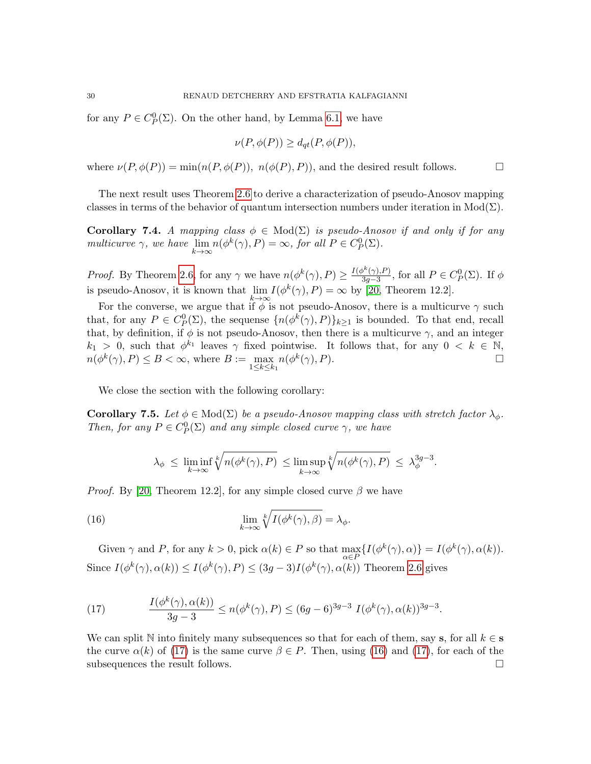for any  $P \in C^0_P(\Sigma)$ . On the other hand, by Lemma [6.1,](#page-24-0) we have

$$
\nu(P, \phi(P)) \ge d_{qt}(P, \phi(P)),
$$

where  $\nu(P, \phi(P)) = \min(n(P, \phi(P)), n(\phi(P), P))$ , and the desired result follows.

The next result uses Theorem [2.6](#page-7-0) to derive a characterization of pseudo-Anosov mapping classes in terms of the behavior of quantum intersection numbers under iteration in Mod( $\Sigma$ ).

**Corollary 7.4.** A mapping class  $\phi \in Mod(\Sigma)$  is pseudo-Anosov if and only if for any multicurve  $\gamma$ , we have  $\lim_{k \to \infty} n(\phi^k(\gamma), P) = \infty$ , for all  $P \in C_P^0(\Sigma)$ .

*Proof.* By Theorem [2.6,](#page-7-0) for any  $\gamma$  we have  $n(\phi^k(\gamma), P) \geq \frac{I(\phi^k(\gamma), P)}{3a-3}$  $\frac{\partial^{\kappa}(\gamma), P}{\partial g - 3}$ , for all  $P \in C_P^0(\Sigma)$ . If  $\phi$ is pseudo-Anosov, it is known that  $\lim_{k \to \infty} I(\phi^k(\gamma), P) = \infty$  by [\[20,](#page-37-12) Theorem 12.2].

For the converse, we argue that if  $\phi$  is not pseudo-Anosov, there is a multicurve  $\gamma$  such that, for any  $P \in C_p^0(\Sigma)$ , the sequense  $\{n(\phi^k(\gamma), P)\}_{k \geq 1}$  is bounded. To that end, recall that, by definition, if  $\phi$  is not pseudo-Anosov, then there is a multicurve  $\gamma$ , and an integer  $k_1 > 0$ , such that  $\phi^{k_1}$  leaves  $\gamma$  fixed pointwise. It follows that, for any  $0 < k \in \mathbb{N}$ ,  $n(\phi^k(\gamma), P) \leq B < \infty$ , where  $B := \max_{1 \leq k \leq k_1} n(\phi^k(\gamma), P)$ .

We close the section with the following corollary:

<span id="page-29-2"></span>**Corollary 7.5.** Let  $\phi \in Mod(\Sigma)$  be a pseudo-Anosov mapping class with stretch factor  $\lambda_{\phi}$ . Then, for any  $P \in C^0_P(\Sigma)$  and any simple closed curve  $\gamma$ , we have

<span id="page-29-1"></span>
$$
\lambda_{\phi} \ \leq \ \liminf_{k \to \infty} \sqrt[k]{n(\phi^k(\gamma), P)} \ \leq \limsup_{k \to \infty} \sqrt[k]{n(\phi^k(\gamma), P)} \ \leq \ \lambda_{\phi}^{3g-3}.
$$

*Proof.* By [\[20,](#page-37-12) Theorem 12.2], for any simple closed curve  $\beta$  we have

(16) 
$$
\lim_{k \to \infty} \sqrt[k]{I(\phi^k(\gamma), \beta)} = \lambda_{\phi}.
$$

Given  $\gamma$  and P, for any  $k > 0$ , pick  $\alpha(k) \in P$  so that  $\max_{\alpha \in P} \{ I(\phi^k(\gamma), \alpha) \} = I(\phi^k(\gamma), \alpha(k)).$ Since  $I(\phi^k(\gamma), \alpha(k)) \leq I(\phi^k(\gamma), P) \leq (3g-3)I(\phi^k(\gamma), \alpha(k))$  Theorem [2.6](#page-7-0) gives

<span id="page-29-0"></span>(17) 
$$
\frac{I(\phi^k(\gamma), \alpha(k))}{3g-3} \le n(\phi^k(\gamma), P) \le (6g-6)^{3g-3} I(\phi^k(\gamma), \alpha(k))^{3g-3}.
$$

We can split N into finitely many subsequences so that for each of them, say s, for all  $k \in \mathbf{s}$ the curve  $\alpha(k)$  of [\(17\)](#page-29-0) is the same curve  $\beta \in P$ . Then, using [\(16\)](#page-29-1) and (17), for each of the subsequences the result follows.  $\Box$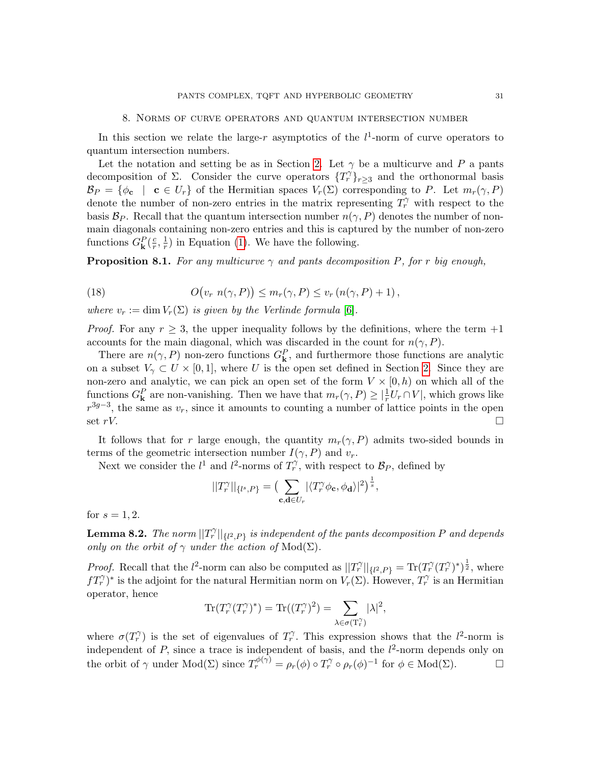#### 8. Norms of curve operators and quantum intersection number

<span id="page-30-0"></span>In this section we relate the large-r asymptotics of the  $l^1$ -norm of curve operators to quantum intersection numbers.

Let the notation and setting be as in Section [2.](#page-4-0) Let  $\gamma$  be a multicurve and P a pants decomposition of  $\Sigma$ . Consider the curve operators  $\{T_r^{\gamma}\}_{r\geq3}$  and the orthonormal basis  $\mathcal{B}_P = \{\phi_{\mathbf{c}} \mid \mathbf{c} \in U_r\}$  of the Hermitian spaces  $V_r(\Sigma)$  corresponding to P. Let  $m_r(\gamma, P)$ denote the number of non-zero entries in the matrix representing  $T_r^{\gamma}$  with respect to the basis  $\mathcal{B}_P$ . Recall that the quantum intersection number  $n(\gamma, P)$  denotes the number of nonmain diagonals containing non-zero entries and this is captured by the number of non-zero functions  $G^P_{\mathbf{k}}(\frac{c}{r})$  $\frac{c}{r}, \frac{1}{r}$  $\frac{1}{r}$ ) in Equation [\(1\)](#page-3-2). We have the following.

**Proposition 8.1.** For any multicurve  $\gamma$  and pants decomposition P, for r big enough,

<span id="page-30-1"></span>(18) 
$$
O(v_r \ n(\gamma, P)) \leq m_r(\gamma, P) \leq v_r (n(\gamma, P) + 1),
$$

where  $v_r := \dim V_r(\Sigma)$  is given by the Verlinde formula [\[6\]](#page-36-0).

*Proof.* For any  $r \geq 3$ , the upper inequality follows by the definitions, where the term  $+1$ accounts for the main diagonal, which was discarded in the count for  $n(\gamma, P)$ .

There are  $n(\gamma, P)$  non-zero functions  $G_{\mathbf{k}}^P$ , and furthermore those functions are analytic on a subset  $V_{\gamma} \subset U \times [0,1]$ , where U is the open set defined in Section [2.](#page-4-0) Since they are non-zero and analytic, we can pick an open set of the form  $V \times [0, h)$  on which all of the functions  $G_{\mathbf{k}}^P$  are non-vanishing. Then we have that  $m_r(\gamma, P) \geq |\frac{1}{r}U_r \cap V|$ , which grows like  $r^{3g-3}$ , the same as  $v_r$ , since it amounts to counting a number of lattice points in the open set  $rV$ .

It follows that for r large enough, the quantity  $m_r(\gamma, P)$  admits two-sided bounds in terms of the geometric intersection number  $I(\gamma, P)$  and  $v_r$ .

Next we consider the  $l^1$  and  $l^2$ -norms of  $T_r^{\gamma}$ , with respect to  $\mathcal{B}_P$ , defined by

$$
||T_r^{\gamma}||_{\{l^s,P\}} = \left(\sum_{\mathbf{c},\mathbf{d}\in U_r} |\langle T_r^{\gamma} \phi_{\mathbf{c}}, \phi_{\mathbf{d}}\rangle|^2\right)^{\frac{1}{s}},
$$

for  $s = 1, 2$ .

**Lemma 8.2.** The norm  $||T_r^\gamma||_{\{l^2, P\}}$  is independent of the pants decomposition P and depends only on the orbit of  $\gamma$  under the action of  $Mod(\Sigma)$ .

*Proof.* Recall that the  $l^2$ -norm can also be computed as  $||T_r^{\gamma}||_{\{l^2,P\}} = \text{Tr}(T_r^{\gamma}(T_r^{\gamma})^*)^{\frac{1}{2}}$ , where  $fT_r^{\gamma}$ <sup>\*</sup> is the adjoint for the natural Hermitian norm on  $V_r(\Sigma)$ . However,  $T_r^{\gamma}$  is an Hermitian operator, hence

$$
\operatorname{Tr}(T_r^{\gamma}(T_r^{\gamma})^*) = \operatorname{Tr}((T_r^{\gamma})^2) = \sum_{\lambda \in \sigma(T_r^{\gamma})} |\lambda|^2,
$$

where  $\sigma(T_r^{\gamma})$  is the set of eigenvalues of  $T_r^{\gamma}$ . This expression shows that the  $l^2$ -norm is independent of P, since a trace is independent of basis, and the  $l^2$ -norm depends only on the orbit of  $\gamma$  under  $Mod(\Sigma)$  since  $T_r^{\phi(\gamma)} = \rho_r(\phi) \circ T_r^{\gamma} \circ \rho_r(\phi)^{-1}$  for  $\phi \in Mod(\Sigma)$ .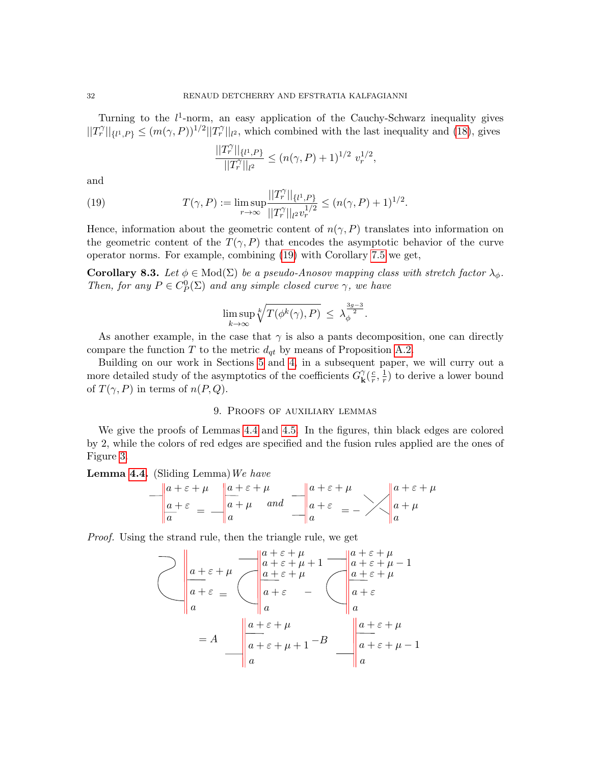Turning to the  $l^1$ -norm, an easy application of the Cauchy-Schwarz inequality gives  $||T_r^{\gamma}||_{\{l^1,P\}} \leq (m(\gamma,P))^{1/2}||T_r^{\gamma}||_{l^2}$ , which combined with the last inequality and [\(18\)](#page-30-1), gives

<span id="page-31-1"></span>
$$
\frac{||T_r^{\gamma}||_{\{l^1,P\}}}{||T_r^{\gamma}||_{l^2}} \le (n(\gamma,P)+1)^{1/2} v_r^{1/2},
$$

and

(19) 
$$
T(\gamma, P) := \limsup_{r \to \infty} \frac{||T_r^{\gamma}||_{\{l^1, P\}}}{||T_r^{\gamma}||_{l^2} v_r^{1/2}} \le (n(\gamma, P) + 1)^{1/2}.
$$

Hence, information about the geometric content of  $n(\gamma, P)$  translates into information on the geometric content of the  $T(\gamma, P)$  that encodes the asymptotic behavior of the curve operator norms. For example, combining [\(19\)](#page-31-1) with Corollary [7.5](#page-29-2) we get,

**Corollary 8.3.** Let  $\phi \in Mod(\Sigma)$  be a pseudo-Anosov mapping class with stretch factor  $\lambda_{\phi}$ . Then, for any  $P \in C^0_P(\Sigma)$  and any simple closed curve  $\gamma$ , we have

$$
\limsup_{k \to \infty} \sqrt[k]{T(\phi^k(\gamma), P)} \leq \lambda_{\phi}^{\frac{3g-3}{2}}.
$$

As another example, in the case that  $\gamma$  is also a pants decomposition, one can directly compare the function T to the metric  $d_{qt}$  by means of Proposition [A.2.](#page-33-1)

Building on our work in Sections [5](#page-17-0) and [4,](#page-11-0) in a subsequent paper, we will curry out a more detailed study of the asymptotics of the coefficients  $G_{\mathbf{k}}^{\gamma}$  $\frac{\gamma}{\mathbf{k}}(\frac{c}{r}% )^{2}$  $\frac{c}{r}, \frac{1}{r}$  $(\frac{1}{r})$  to derive a lower bound of  $T(\gamma, P)$  in terms of  $n(P, Q)$ .

### 9. Proofs of auxiliary lemmas

<span id="page-31-0"></span>We give the proofs of Lemmas [4.4](#page-14-2) and [4.5.](#page-14-0) In the figures, thin black edges are colored by 2, while the colors of red edges are specified and the fusion rules applied are the ones of Figure [3.](#page-12-0)

**Lemma [4.4.](#page-14-2)** (Sliding Lemma) We have

$$
-\begin{vmatrix} a+\varepsilon+\mu & a+\varepsilon+\mu \\ a+\varepsilon & a+\mu & and \end{vmatrix} \xrightarrow[a+\varepsilon]{a+\varepsilon+\mu} a + \varepsilon = -\sqrt{\begin{vmatrix} a+\varepsilon+\mu \\ a+\mu \\ a+\mu \end{vmatrix}}
$$

Proof. Using the strand rule, then the triangle rule, we get

$$
\bigvee a + \varepsilon + \mu
$$
\n
$$
= A \qquad\n\begin{array}{c}\na + \varepsilon + \mu \\
a + \varepsilon + \mu + 1 \\
a + \varepsilon \\
a\n\end{array}\n\qquad\n\begin{array}{c}\na + \varepsilon + \mu \\
a + \varepsilon + \mu + 1 \\
a + \varepsilon \\
a\n\end{array}\n\qquad\n\begin{array}{c}\na + \varepsilon + \mu \\
a + \varepsilon + \mu - 1 \\
a + \varepsilon \\
a\n\end{array}\n\qquad\n\begin{array}{c}\na + \varepsilon + \mu \\
a + \varepsilon \\
a \\
a\n\end{array}\n\qquad\n\begin{array}{c}\na + \varepsilon + \mu \\
a + \varepsilon \\
a \\
a\n\end{array}\n\qquad\n\begin{array}{c}\na + \varepsilon + \mu \\
a + \varepsilon + \mu - 1 \\
a\n\end{array}
$$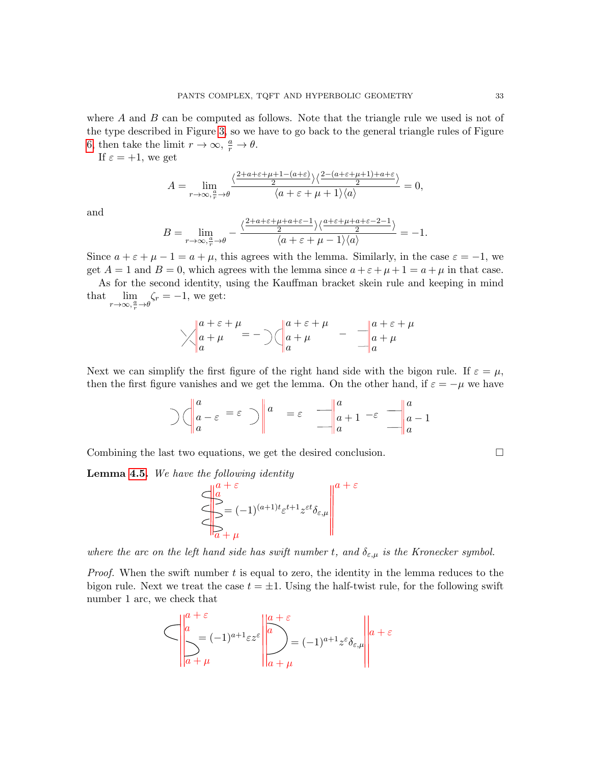where  $A$  and  $B$  can be computed as follows. Note that the triangle rule we used is not of the type described in Figure [3,](#page-12-0) so we have to go back to the general triangle rules of Figure [6,](#page-35-0) then take the limit  $r \to \infty$ ,  $\frac{a}{r} \to \theta$ .

If  $\varepsilon = +1$ , we get

$$
A = \lim_{r \to \infty, \frac{a}{r} \to \theta} \frac{\langle \frac{2+a+\varepsilon+\mu+1-(a+\varepsilon)}{2} \rangle \langle \frac{2-(a+\varepsilon+\mu+1)+a+\varepsilon}{2} \rangle}{\langle a+\varepsilon+\mu+1 \rangle \langle a \rangle} = 0,
$$

and

$$
B = \lim_{r \to \infty, \frac{a}{r} \to \theta} - \frac{\langle \frac{2+a+\varepsilon+\mu+a+\varepsilon-1}{2} \rangle \langle \frac{a+\varepsilon+\mu+a+\varepsilon-2-1}{2} \rangle}{\langle a+\varepsilon+\mu-1 \rangle \langle a \rangle} = -1.
$$

Since  $a + \varepsilon + \mu - 1 = a + \mu$ , this agrees with the lemma. Similarly, in the case  $\varepsilon = -1$ , we get  $A = 1$  and  $B = 0$ , which agrees with the lemma since  $a + \varepsilon + \mu + 1 = a + \mu$  in that case.

As for the second identity, using the Kauffman bracket skein rule and keeping in mind that  $\lim_{r \to \infty, \frac{a}{r} \to \theta}$  $\zeta_r = -1$ , we get:

$$
\sqrt{\begin{vmatrix} a+\varepsilon+\mu \\ a+\mu \\ a \end{vmatrix}} = -\bigg) \left( \begin{vmatrix} a+\varepsilon+\mu \\ a+\mu \\ a \end{vmatrix} - \frac{a+\varepsilon+\mu}{a+\mu} \right)
$$

Next we can simplify the first figure of the right hand side with the bigon rule. If  $\varepsilon = \mu$ , then the first figure vanishes and we get the lemma. On the other hand, if  $\varepsilon = -\mu$  we have

$$
\bigg|\bigcap_{a} \left(\frac{a}{a} - \varepsilon\right) = \varepsilon \bigg|\bigg|^{a} = \varepsilon \frac{a}{\|a\|^{a} + 1} - \varepsilon \frac{a}{\|a\|^{a} - 1}
$$

 $\varepsilon$ 

Combining the last two equations, we get the desired conclusion.

**Lemma [4.5.](#page-14-0)** We have the following identity

$$
\left\|\sum_{a}^{a+\varepsilon}(-1)^{(a+1)t}\varepsilon^{t+1}z^{\varepsilon t}\delta_{\varepsilon,\mu}\right\|^{a+\varepsilon}
$$

where the arc on the left hand side has swift number t, and  $\delta_{\varepsilon,\mu}$  is the Kronecker symbol.

*Proof.* When the swift number  $t$  is equal to zero, the identity in the lemma reduces to the bigon rule. Next we treat the case  $t = \pm 1$ . Using the half-twist rule, for the following swift number 1 arc, we check that

$$
\left|\frac{a+\varepsilon}{a}(-1)^{a+1}\varepsilon z^{\varepsilon}\left\|\frac{a+\varepsilon}{a}\right\|_{a+\mu}^{a+\varepsilon} = (-1)^{a+1}z^{\varepsilon}\delta_{\varepsilon,\mu}\right\|a+\varepsilon
$$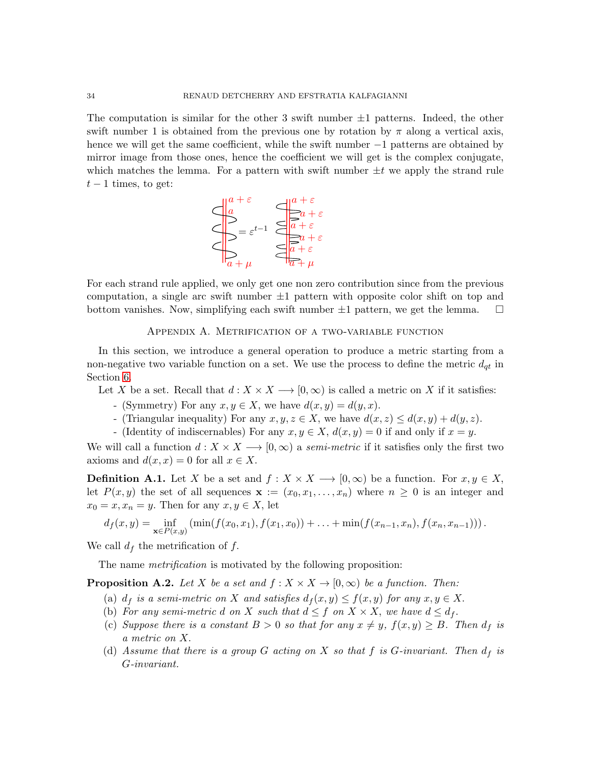The computation is similar for the other 3 swift number  $\pm 1$  patterns. Indeed, the other swift number 1 is obtained from the previous one by rotation by  $\pi$  along a vertical axis, hence we will get the same coefficient, while the swift number −1 patterns are obtained by mirror image from those ones, hence the coefficient we will get is the complex conjugate, which matches the lemma. For a pattern with swift number  $\pm t$  we apply the strand rule  $t-1$  times, to get:



For each strand rule applied, we only get one non zero contribution since from the previous computation, a single arc swift number  $\pm 1$  pattern with opposite color shift on top and bottom vanishes. Now, simplifying each swift number  $\pm 1$  pattern, we get the lemma.  $\square$ 

### Appendix A. Metrification of a two-variable function

<span id="page-33-0"></span>In this section, we introduce a general operation to produce a metric starting from a non-negative two variable function on a set. We use the process to define the metric  $d_{qt}$  in Section [6.](#page-24-1)

Let X be a set. Recall that  $d: X \times X \longrightarrow [0, \infty)$  is called a metric on X if it satisfies:

- (Symmetry) For any  $x, y \in X$ , we have  $d(x, y) = d(y, x)$ .
- (Triangular inequality) For any  $x, y, z \in X$ , we have  $d(x, z) \leq d(x, y) + d(y, z)$ .
- (Identity of indiscernables) For any  $x, y \in X$ ,  $d(x, y) = 0$  if and only if  $x = y$ .

We will call a function  $d: X \times X \longrightarrow [0, \infty)$  a semi-metric if it satisfies only the first two axioms and  $d(x, x) = 0$  for all  $x \in X$ .

**Definition A.1.** Let X be a set and  $f : X \times X \longrightarrow [0, \infty)$  be a function. For  $x, y \in X$ , let  $P(x, y)$  the set of all sequences  $\mathbf{x} := (x_0, x_1, \ldots, x_n)$  where  $n \geq 0$  is an integer and  $x_0 = x, x_n = y$ . Then for any  $x, y \in X$ , let

$$
d_f(x,y) = \inf_{\mathbf{x} \in P(x,y)} (\min(f(x_0,x_1),f(x_1,x_0)) + \ldots + \min(f(x_{n-1},x_n),f(x_n,x_{n-1})))
$$

We call  $d_f$  the metrification of f.

The name *metrification* is motivated by the following proposition:

<span id="page-33-1"></span>**Proposition A.2.** Let X be a set and  $f : X \times X \to [0, \infty)$  be a function. Then:

- (a)  $d_f$  is a semi-metric on X and satisfies  $d_f(x, y) \le f(x, y)$  for any  $x, y \in X$ .
- (b) For any semi-metric d on X such that  $d \leq f$  on  $X \times X$ , we have  $d \leq d_f$ .
- (c) Suppose there is a constant  $B > 0$  so that for any  $x \neq y$ ,  $f(x, y) \geq B$ . Then  $d_f$  is a metric on X.
- (d) Assume that there is a group G acting on X so that f is G-invariant. Then  $d_f$  is G-invariant.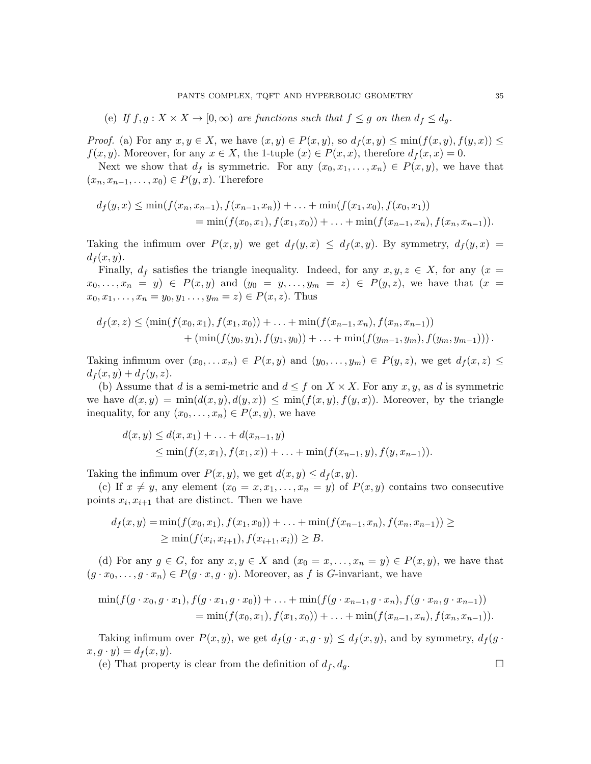(e) If 
$$
f, g: X \times X \to [0, \infty)
$$
 are functions such that  $f \leq g$  on then  $d_f \leq d_g$ .

*Proof.* (a) For any  $x, y \in X$ , we have  $(x, y) \in P(x, y)$ , so  $d_f(x, y) \leq \min(f(x, y), f(y, x)) \leq$  $f(x, y)$ . Moreover, for any  $x \in X$ , the 1-tuple  $(x) \in P(x, x)$ , therefore  $d_f(x, x) = 0$ .

Next we show that  $d_f$  is symmetric. For any  $(x_0, x_1, \ldots, x_n) \in P(x, y)$ , we have that  $(x_n, x_{n-1}, \ldots, x_0) \in P(y, x)$ . Therefore

$$
d_f(y,x) \le \min(f(x_n, x_{n-1}), f(x_{n-1}, x_n)) + \ldots + \min(f(x_1, x_0), f(x_0, x_1))
$$
  
=  $\min(f(x_0, x_1), f(x_1, x_0)) + \ldots + \min(f(x_{n-1}, x_n), f(x_n, x_{n-1})).$ 

Taking the infimum over  $P(x, y)$  we get  $d_f(y, x) \leq d_f(x, y)$ . By symmetry,  $d_f(y, x) =$  $d_f(x, y)$ .

Finally,  $d_f$  satisfies the triangle inequality. Indeed, for any  $x, y, z \in X$ , for any  $(x =$  $x_0, \ldots, x_n = y$   $\in P(x, y)$  and  $(y_0 = y, \ldots, y_m = z) \in P(y, z)$ , we have that  $(x = y)$  $x_0, x_1, \ldots, x_n = y_0, y_1 \ldots, y_m = z) \in P(x, z)$ . Thus

$$
d_f(x, z) \le (\min(f(x_0, x_1), f(x_1, x_0)) + \ldots + \min(f(x_{n-1}, x_n), f(x_n, x_{n-1})) + (\min(f(y_0, y_1), f(y_1, y_0)) + \ldots + \min(f(y_{m-1}, y_m), f(y_m, y_{m-1}))).
$$

Taking infimum over  $(x_0, \ldots, x_n) \in P(x, y)$  and  $(y_0, \ldots, y_m) \in P(y, z)$ , we get  $d_f(x, z) \leq$  $d_f(x, y) + d_f(y, z)$ .

(b) Assume that d is a semi-metric and  $d \leq f$  on  $X \times X$ . For any  $x, y$ , as d is symmetric we have  $d(x, y) = \min(d(x, y), d(y, x)) \leq \min(f(x, y), f(y, x))$ . Moreover, by the triangle inequality, for any  $(x_0, \ldots, x_n) \in P(x, y)$ , we have

$$
d(x, y) \le d(x, x_1) + \ldots + d(x_{n-1}, y)
$$
  
\n
$$
\le \min(f(x, x_1), f(x_1, x)) + \ldots + \min(f(x_{n-1}, y), f(y, x_{n-1})).
$$

Taking the infimum over  $P(x, y)$ , we get  $d(x, y) \leq d_f(x, y)$ .

(c) If  $x \neq y$ , any element  $(x_0 = x, x_1, \ldots, x_n = y)$  of  $P(x, y)$  contains two consecutive points  $x_i, x_{i+1}$  that are distinct. Then we have

$$
d_f(x, y) = \min(f(x_0, x_1), f(x_1, x_0)) + \ldots + \min(f(x_{n-1}, x_n), f(x_n, x_{n-1})) \ge
$$
  
 
$$
\ge \min(f(x_i, x_{i+1}), f(x_{i+1}, x_i)) \ge B.
$$

(d) For any  $g \in G$ , for any  $x, y \in X$  and  $(x_0 = x, \ldots, x_n = y) \in P(x, y)$ , we have that  $(g \cdot x_0, \ldots, g \cdot x_n) \in P(g \cdot x, g \cdot y)$ . Moreover, as f is G-invariant, we have

$$
\min(f(g \cdot x_0, g \cdot x_1), f(g \cdot x_1, g \cdot x_0)) + \ldots + \min(f(g \cdot x_{n-1}, g \cdot x_n), f(g \cdot x_n, g \cdot x_{n-1}))
$$
  
= 
$$
\min(f(x_0, x_1), f(x_1, x_0)) + \ldots + \min(f(x_{n-1}, x_n), f(x_n, x_{n-1})).
$$

Taking infimum over  $P(x, y)$ , we get  $d_f(g \cdot x, g \cdot y) \leq d_f(x, y)$ , and by symmetry,  $d_f(g \cdot x, g \cdot y)$  $x, g \cdot y$  =  $d_f(x, y)$ .

(e) That property is clear from the definition of  $d_f, d_g$ .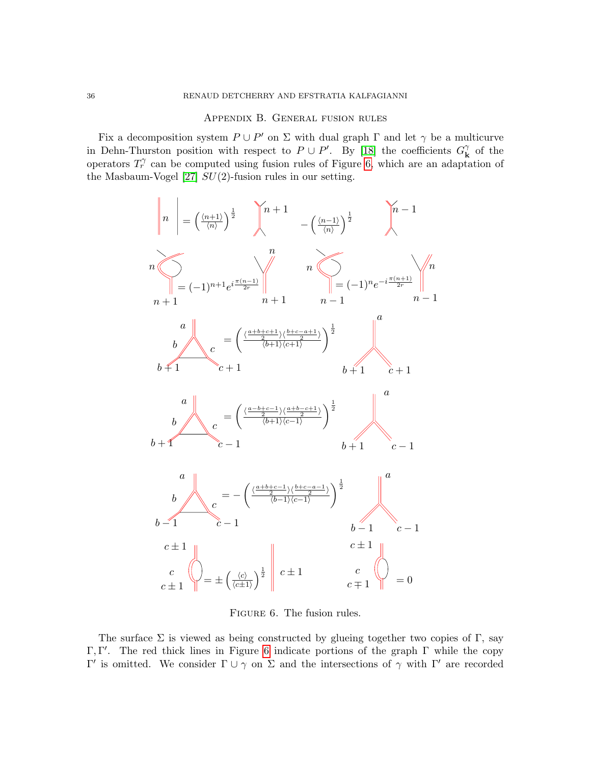## Appendix B. General fusion rules

<span id="page-35-1"></span>Fix a decomposition system  $P \cup P'$  on  $\Sigma$  with dual graph  $\Gamma$  and let  $\gamma$  be a multicurve in Dehn-Thurston position with respect to  $P \cup P'$ . By [\[18\]](#page-36-2) the coefficients  $G_{\mathbf{k}}^{\gamma}$  $_{\mathbf{k}}^{\gamma}$  of the operators  $T_r^{\gamma}$  can be computed using fusion rules of Figure [6,](#page-35-0) which are an adaptation of the Masbaum-Vogel [\[27\]](#page-37-13)  $SU(2)$ -fusion rules in our setting.



<span id="page-35-0"></span>FIGURE 6. The fusion rules.

The surface  $\Sigma$  is viewed as being constructed by glueing together two copies of Γ, say Γ, Γ'. The red thick lines in Figure [6](#page-35-0) indicate portions of the graph  $\Gamma$  while the copy  $Γ'$  is omitted. We consider Γ ∪ γ on Σ and the intersections of γ with Γ' are recorded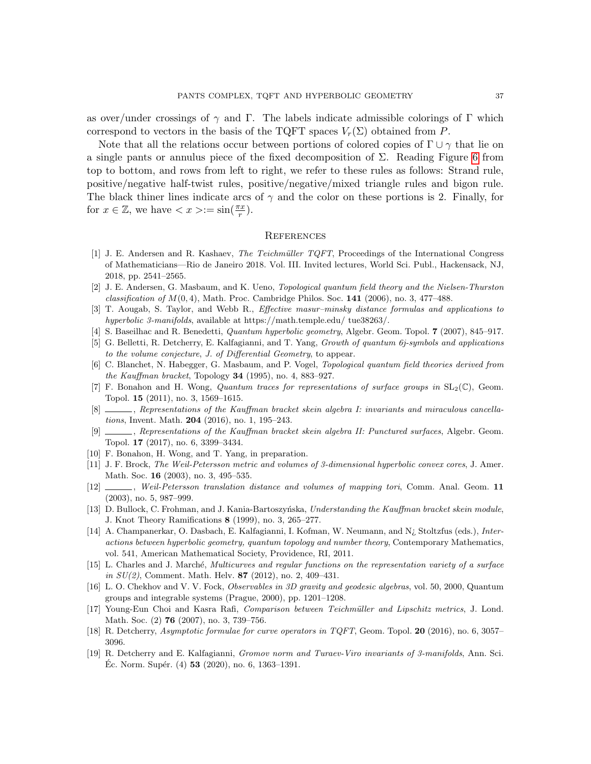as over/under crossings of  $\gamma$  and Γ. The labels indicate admissible colorings of Γ which correspond to vectors in the basis of the TQFT spaces  $V_r(\Sigma)$  obtained from P.

Note that all the relations occur between portions of colored copies of  $\Gamma \cup \gamma$  that lie on a single pants or annulus piece of the fixed decomposition of  $\Sigma$ . Reading Figure [6](#page-35-0) from top to bottom, and rows from left to right, we refer to these rules as follows: Strand rule, positive/negative half-twist rules, positive/negative/mixed triangle rules and bigon rule. The black thiner lines indicate arcs of  $\gamma$  and the color on these portions is 2. Finally, for for  $x \in \mathbb{Z}$ , we have  $\langle x \rangle := \sin(\frac{\pi x}{r})$ .

#### **REFERENCES**

- <span id="page-36-14"></span>[1] J. E. Andersen and R. Kashaev, The Teichmüller TQFT, Proceedings of the International Congress of Mathematicians—Rio de Janeiro 2018. Vol. III. Invited lectures, World Sci. Publ., Hackensack, NJ, 2018, pp. 2541–2565.
- <span id="page-36-18"></span>[2] J. E. Andersen, G. Masbaum, and K. Ueno, Topological quantum field theory and the Nielsen-Thurston classification of  $M(0, 4)$ , Math. Proc. Cambridge Philos. Soc. 141 (2006), no. 3, 477–488.
- <span id="page-36-16"></span>[3] T. Aougab, S. Taylor, and Webb R., Effective masur–minsky distance formulas and applications to hyperbolic 3-manifolds, available at https://math.temple.edu/ tue38263/.
- <span id="page-36-15"></span>[4] S. Baseilhac and R. Benedetti, Quantum hyperbolic geometry, Algebr. Geom. Topol. 7 (2007), 845–917.
- <span id="page-36-6"></span>[5] G. Belletti, R. Detcherry, E. Kalfagianni, and T. Yang, Growth of quantum 6j-symbols and applications to the volume conjecture, J. of Differential Geometry, to appear.
- <span id="page-36-0"></span>[6] C. Blanchet, N. Habegger, G. Masbaum, and P. Vogel, Topological quantum field theories derived from the Kauffman bracket, Topology 34 (1995), no. 4, 883–927.
- <span id="page-36-7"></span>[7] F. Bonahon and H. Wong, Quantum traces for representations of surface groups in  $SL_2(\mathbb{C})$ , Geom. Topol. 15 (2011), no. 3, 1569–1615.
- <span id="page-36-8"></span>[8] , Representations of the Kauffman bracket skein algebra I: invariants and miraculous cancellations, Invent. Math. 204 (2016), no. 1, 195–243.
- <span id="page-36-12"></span>[9] , Representations of the Kauffman bracket skein algebra II: Punctured surfaces, Algebr. Geom. Topol. 17 (2017), no. 6, 3399–3434.
- <span id="page-36-13"></span>[10] F. Bonahon, H. Wong, and T. Yang, in preparation.
- <span id="page-36-1"></span>[11] J. F. Brock, The Weil-Petersson metric and volumes of 3-dimensional hyperbolic convex cores, J. Amer. Math. Soc. **16** (2003), no. 3, 495–535.
- <span id="page-36-3"></span>[12]  $\qquad \qquad$ , Weil-Petersson translation distance and volumes of mapping tori, Comm. Anal. Geom. 11 (2003), no. 5, 987–999.
- <span id="page-36-10"></span>[13] D. Bullock, C. Frohman, and J. Kania-Bartoszyńska, Understanding the Kauffman bracket skein module, J. Knot Theory Ramifications 8 (1999), no. 3, 265–277.
- <span id="page-36-4"></span>[14] A. Champanerkar, O. Dasbach, E. Kalfagianni, I. Kofman, W. Neumann, and N¿ Stoltzfus (eds.), Interactions between hyperbolic geometry, quantum topology and number theory, Contemporary Mathematics, vol. 541, American Mathematical Society, Providence, RI, 2011.
- <span id="page-36-11"></span>[15] L. Charles and J. March´e, Multicurves and regular functions on the representation variety of a surface in  $SU(2)$ , Comment. Math. Helv. 87 (2012), no. 2, 409–431.
- <span id="page-36-9"></span>[16] L. O. Chekhov and V. V. Fock, Observables in 3D gravity and geodesic algebras, vol. 50, 2000, Quantum groups and integrable systems (Prague, 2000), pp. 1201–1208.
- <span id="page-36-17"></span>[17] Young-Eun Choi and Kasra Rafi, Comparison between Teichmüller and Lipschitz metrics, J. Lond. Math. Soc. (2) **76** (2007), no. 3, 739–756.
- <span id="page-36-2"></span>[18] R. Detcherry, Asymptotic formulae for curve operators in TQFT, Geom. Topol. 20 (2016), no. 6, 3057– 3096.
- <span id="page-36-5"></span>[19] R. Detcherry and E. Kalfagianni, Gromov norm and Turaev-Viro invariants of 3-manifolds, Ann. Sci. Ec. Norm. Supér.  $(4)$  53  $(2020)$ , no. 6, 1363–1391.